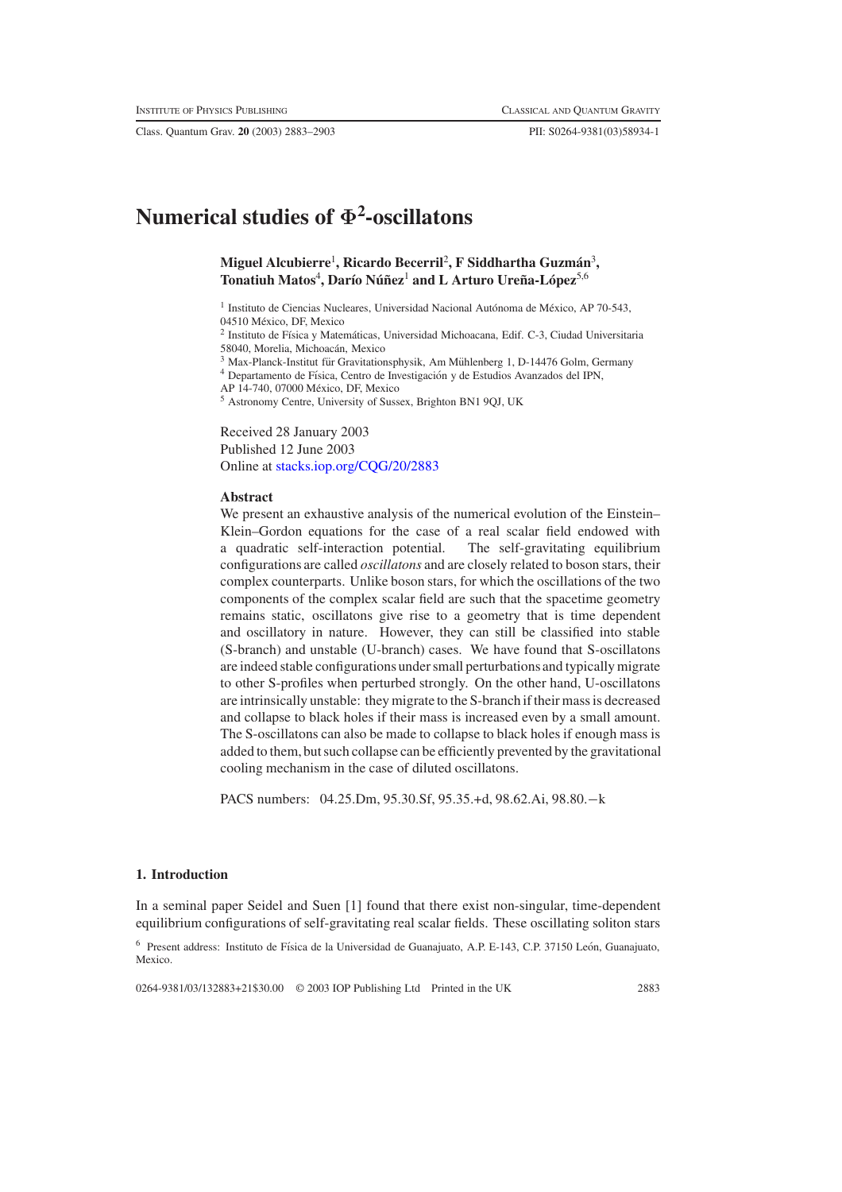Class. Quantum Grav. **20** (2003) 2883–2903 PII: S0264-9381(03)58934-1

# **Numerical studies of Φ<sup>2</sup> -oscillatons**

# **Miguel Alcubierre**<sup>1</sup> **, Ricardo Becerril**<sup>2</sup> **, F Siddhartha Guzman´** <sup>3</sup> **,**  $\mathbf{T}$ onatiuh Matos $^4$ , Darío Núñez $^1$  and L Arturo Ureña-López $^{5,6}$

 $1$  Instituto de Ciencias Nucleares, Universidad Nacional Autónoma de México, AP 70-543, 04510 México, DF, Mexico

<sup>2</sup> Instituto de Física y Matemáticas, Universidad Michoacana, Edif. C-3, Ciudad Universitaria 58040, Morelia, Michoacán, Mexico

 $3$  Max-Planck-Institut für Gravitationsphysik, Am Mühlenberg 1, D-14476 Golm, Germany

 $^4$  Departamento de Física, Centro de Investigación y de Estudios Avanzados del IPN,

AP 14-740, 07000 Mexico, DF, Mexico ´

<sup>5</sup> Astronomy Centre, University of Sussex, Brighton BN1 9QJ, UK

Received 28 January 2003 Published 12 June 2003 Online at [stacks.iop.org/CQG/20/2883](http://stacks.iop.org/cq/20/2883)

## **Abstract**

We present an exhaustive analysis of the numerical evolution of the Einstein– Klein–Gordon equations for the case of a real scalar field endowed with a quadratic self-interaction potential. The self-gravitating equilibrium configurations are called *oscillatons* and are closely related to boson stars, their complex counterparts. Unlike boson stars, for which the oscillations of the two components of the complex scalar field are such that the spacetime geometry remains static, oscillatons give rise to a geometry that is time dependent and oscillatory in nature. However, they can still be classified into stable (S-branch) and unstable (U-branch) cases. We have found that S-oscillatons are indeed stable configurations under small perturbations and typically migrate to other S-profiles when perturbed strongly. On the other hand, U-oscillatons are intrinsically unstable: they migrate to the S-branch if their mass is decreased and collapse to black holes if their mass is increased even by a small amount. The S-oscillatons can also be made to collapse to black holes if enough mass is added to them, but such collapse can be efficiently prevented by the gravitational cooling mechanism in the case of diluted oscillatons.

PACS numbers: 04.25.Dm, 95.30.Sf, 95.35.+d, 98.62.Ai, 98.80.−k

## **1. Introduction**

In a seminal paper Seidel and Suen [1] found that there exist non-singular, time-dependent equilibrium configurations of self-gravitating real scalar fields. These oscillating soliton stars

 $6$  Present address: Instituto de Física de la Universidad de Guanajuato, A.P. E-143, C.P. 37150 León, Guanajuato, Mexico.

0264-9381/03/132883+21\$30.00 © 2003 IOP Publishing Ltd Printed in the UK 2883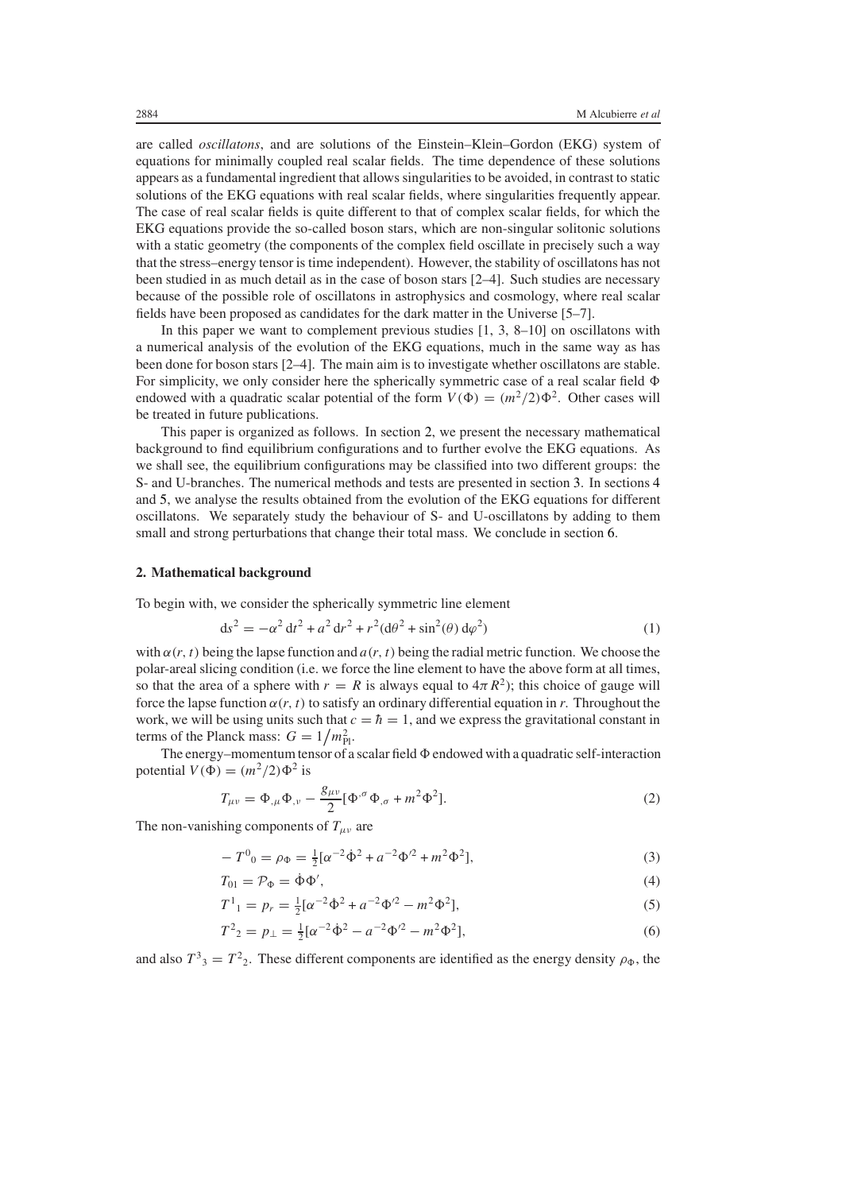are called *oscillatons*, and are solutions of the Einstein–Klein–Gordon (EKG) system of equations for minimally coupled real scalar fields. The time dependence of these solutions appears as a fundamental ingredient that allowssingularities to be avoided, in contrast to static solutions of the EKG equations with real scalar fields, where singularities frequently appear. The case of real scalar fields is quite different to that of complex scalar fields, for which the EKG equations provide the so-called boson stars, which are non-singular solitonic solutions with a static geometry (the components of the complex field oscillate in precisely such a way that the stress–energy tensor is time independent). However, the stability of oscillatons has not been studied in as much detail as in the case of boson stars [2–4]. Such studies are necessary because of the possible role of oscillatons in astrophysics and cosmology, where real scalar fields have been proposed as candidates for the dark matter in the Universe [5–7].

In this paper we want to complement previous studies [1, 3, 8–10] on oscillatons with a numerical analysis of the evolution of the EKG equations, much in the same way as has been done for boson stars [2–4]. The main aim is to investigate whether oscillatons are stable. For simplicity, we only consider here the spherically symmetric case of a real scalar field  $\Phi$ endowed with a quadratic scalar potential of the form  $V(\Phi) = (m^2/2)\Phi^2$ . Other cases will be treated in future publications.

This paper is organized as follows. In section [2,](#page-1-0) we present the necessary mathematical background to find equilibrium configurations and to further evolve the EKG equations. As we shall see, the equilibrium configurations may be classified into two different groups: the S- and U-branches. The numerical methods and tests are presented in section [3.](#page-3-0) In sections [4](#page-8-0) and [5,](#page-15-0) we analyse the results obtained from the evolution of the EKG equations for different oscillatons. We separately study the behaviour of S- and U-oscillatons by adding to them small and strong perturbations that change their total mass. We conclude in section [6.](#page-19-0)

## <span id="page-1-0"></span>**2. Mathematical background**

To begin with, we consider the spherically symmetric line element

$$
ds^{2} = -\alpha^{2} dt^{2} + a^{2} dr^{2} + r^{2} (d\theta^{2} + \sin^{2}(\theta) d\varphi^{2})
$$
 (1)

with  $\alpha(r, t)$  being the lapse function and  $a(r, t)$  being the radial metric function. We choose the polar-areal slicing condition (i.e. we force the line element to have the above form at all times, so that the area of a sphere with  $r = R$  is always equal to  $4\pi R^2$ ); this choice of gauge will force the lapse function *α(r, t)* to satisfy an ordinary differential equation in *r*. Throughout the work, we will be using units such that  $c = \hbar = 1$ , and we express the gravitational constant in terms of the Planck mass:  $G = 1/m_{\text{Pl}}^2$ .

<span id="page-1-1"></span>The energy–momentum tensor of a scalar field  $\Phi$  endowed with a quadratic self-interaction potential  $V(\Phi) = (m^2/2)\Phi^2$  is

$$
T_{\mu\nu} = \Phi_{,\mu} \Phi_{,\nu} - \frac{g_{\mu\nu}}{2} [\Phi^{,\sigma} \Phi_{,\sigma} + m^2 \Phi^2].
$$
 (2)

The non-vanishing components of  $T_{\mu\nu}$  are

$$
-T^{0}{}_{0} = \rho_{\Phi} = \frac{1}{2} [\alpha^{-2} \dot{\Phi}^{2} + a^{-2} \Phi'^{2} + m^{2} \Phi^{2}], \tag{3}
$$

$$
T_{01} = \mathcal{P}_{\Phi} = \dot{\Phi}\Phi',\tag{4}
$$

$$
T^{1}_{1} = p_{r} = \frac{1}{2} [\alpha^{-2} \dot{\Phi}^{2} + a^{-2} \Phi^{2} - m^{2} \Phi^{2}],
$$
\n(5)

$$
T^2{}_2 = p_\perp = \frac{1}{2} [\alpha^{-2} \dot{\Phi}^2 - a^{-2} \Phi'^2 - m^2 \Phi^2],\tag{6}
$$

and also  $T^3{}_3 = T^2{}_2$ . These different components are identified as the energy density  $\rho_{\Phi}$ , the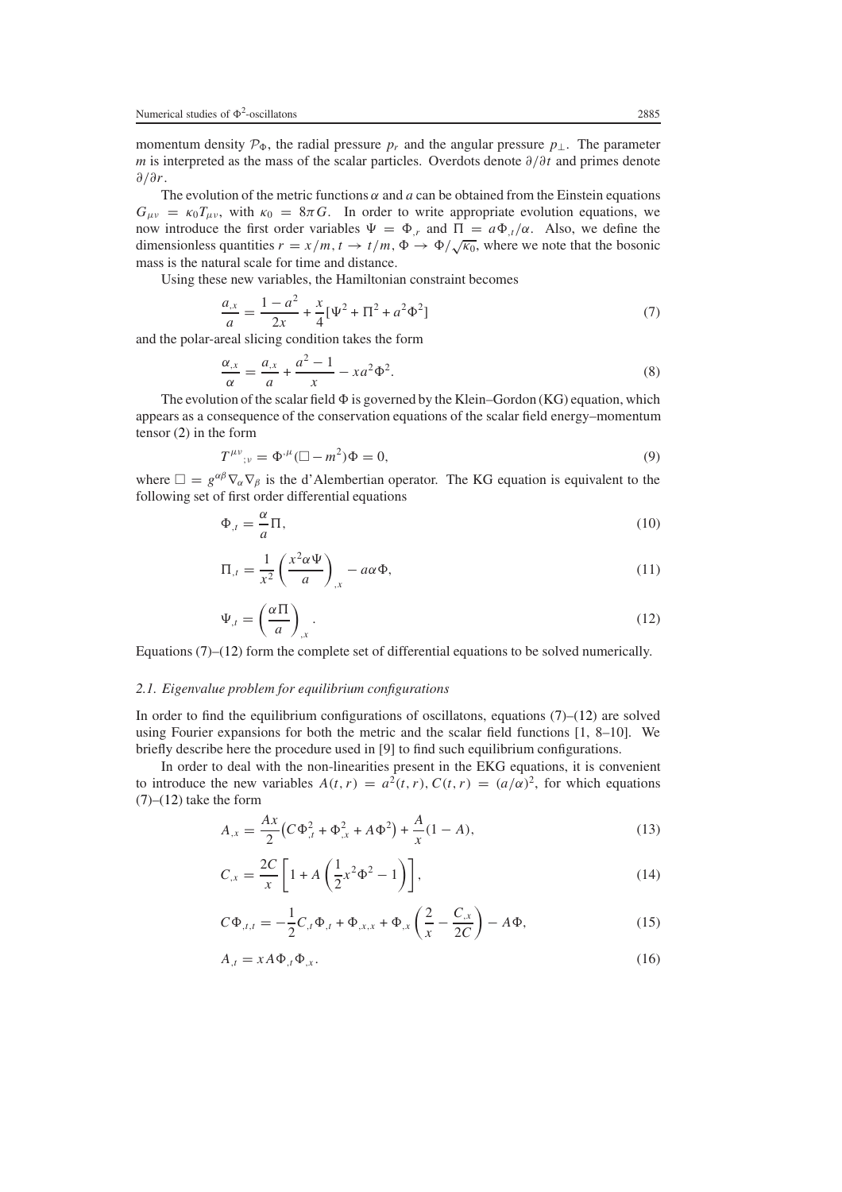momentum density  $\mathcal{P}_{\Phi}$ , the radial pressure  $p_r$  and the angular pressure  $p_{\perp}$ . The parameter *m* is interpreted as the mass of the scalar particles. Overdots denote *∂/∂t* and primes denote *∂/∂r*.

The evolution of the metric functions  $\alpha$  and  $\alpha$  can be obtained from the Einstein equations  $G_{\mu\nu} = \kappa_0 T_{\mu\nu}$ , with  $\kappa_0 = 8\pi G$ . In order to write appropriate evolution equations, we now introduce the first order variables  $\Psi = \Phi_{,r}$  and  $\Pi = a\Phi_{,t}/\alpha$ . Also, we define the dimensionless quantities  $r = x/m$ ,  $t \to t/m$ ,  $\Phi \to \Phi/\sqrt{\kappa_0}$ , where we note that the bosonic mass is the natural scale for time and distance.

<span id="page-2-0"></span>Using these new variables, the Hamiltonian constraint becomes

$$
\frac{a_{,x}}{a} = \frac{1 - a^2}{2x} + \frac{x}{4} [\Psi^2 + \Pi^2 + a^2 \Phi^2]
$$
\n(7)

<span id="page-2-5"></span>and the polar-areal slicing condition takes the form

$$
\frac{\alpha_{,x}}{\alpha} = \frac{a_{,x}}{a} + \frac{a^2 - 1}{x} - xa^2 \Phi^2.
$$
\n(8)

The evolution of the scalar field  $\Phi$  is governed by the Klein–Gordon (KG) equation, which appears as a consequence of the conservation equations of the scalar field energy–momentum tensor [\(2\)](#page-1-1) in the form

$$
T^{\mu\nu}{}_{;\nu} = \Phi^{,\mu} (\Box - m^2) \Phi = 0,\tag{9}
$$

<span id="page-2-6"></span><span id="page-2-4"></span>where  $\Box = g^{\alpha\beta}\nabla_{\alpha}\nabla_{\beta}$  is the d'Alembertian operator. The KG equation is equivalent to the following set of first order differential equations

$$
\Phi_{,t} = \frac{\alpha}{a}\Pi,\tag{10}
$$

$$
\Pi_{,t} = \frac{1}{x^2} \left( \frac{x^2 \alpha \Psi}{a} \right)_{,x} - a \alpha \Phi,
$$
\n(11)

$$
\Psi_{,t} = \left(\frac{\alpha \Pi}{a}\right)_{,x}.\tag{12}
$$

<span id="page-2-1"></span>Equations  $(7)$ – $(12)$  form the complete set of differential equations to be solved numerically.

## <span id="page-2-7"></span>*2.1. Eigenvalue problem for equilibrium configurations*

In order to find the equilibrium configurations of oscillatons, equations  $(7)-(12)$  $(7)-(12)$  $(7)-(12)$  are solved using Fourier expansions for both the metric and the scalar field functions  $[1, 8-10]$ . We briefly describe here the procedure used in [9] to find such equilibrium configurations.

<span id="page-2-3"></span>In order to deal with the non-linearities present in the EKG equations, it is convenient to introduce the new variables  $A(t, r) = a^2(t, r)$ ,  $C(t, r) = (a/\alpha)^2$ , for which equations  $(7)$ – $(12)$  take the form

$$
A_{,x} = \frac{Ax}{2} \left( C \Phi_{,t}^{2} + \Phi_{,x}^{2} + A \Phi^{2} \right) + \frac{A}{x} (1 - A), \tag{13}
$$

$$
C_{,x} = \frac{2C}{x} \left[ 1 + A \left( \frac{1}{2} x^2 \Phi^2 - 1 \right) \right],\tag{14}
$$

<span id="page-2-8"></span>
$$
C\Phi_{,t,t} = -\frac{1}{2}C_{,t}\Phi_{,t} + \Phi_{,x,x} + \Phi_{,x}\left(\frac{2}{x} - \frac{C_{,x}}{2C}\right) - A\Phi,
$$
\n(15)

<span id="page-2-2"></span>
$$
A_{,t} = xA\Phi_{,t}\Phi_{,x}.\tag{16}
$$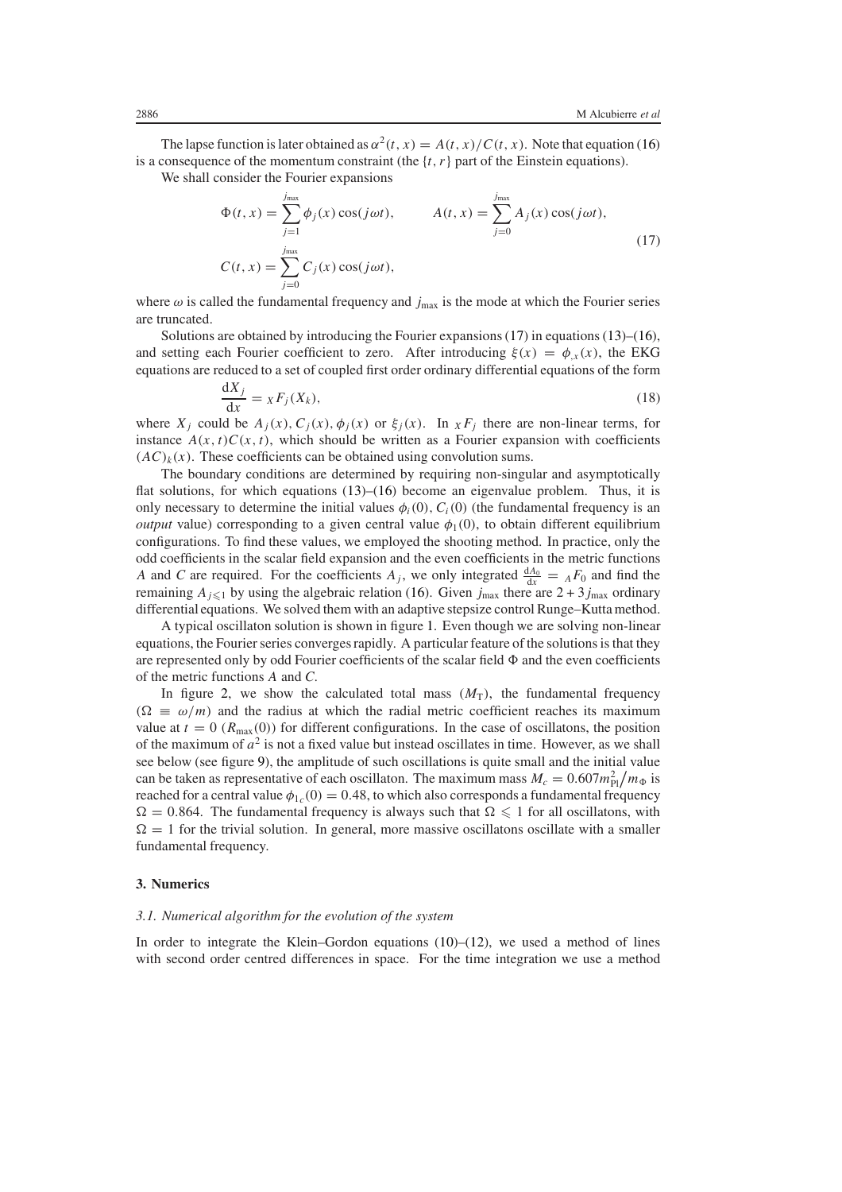The lapse function is later obtained as  $\alpha^2(t, x) = A(t, x)/C(t, x)$ . Note that equation [\(16\)](#page-2-2) is a consequence of the momentum constraint (the  $\{t, r\}$  part of the Einstein equations).

<span id="page-3-1"></span>We shall consider the Fourier expansions

$$
\Phi(t, x) = \sum_{j=1}^{j_{\text{max}}} \phi_j(x) \cos(j\omega t), \qquad A(t, x) = \sum_{j=0}^{j_{\text{max}}} A_j(x) \cos(j\omega t),
$$
\n
$$
C(t, x) = \sum_{j=0}^{j_{\text{max}}} C_j(x) \cos(j\omega t), \qquad (17)
$$

where  $\omega$  is called the fundamental frequency and  $j_{\text{max}}$  is the mode at which the Fourier series are truncated.

Solutions are obtained by introducing the Fourier expansions  $(17)$  in equations  $(13)$ – $(16)$ , and setting each Fourier coefficient to zero. After introducing  $\xi(x) = \phi_{,x}(x)$ , the EKG equations are reduced to a set of coupled first order ordinary differential equations of the form

$$
\frac{\mathrm{d}X_j}{\mathrm{d}x} = x F_j(X_k),\tag{18}
$$

where  $X_j$  could be  $A_j(x)$ ,  $C_j(x)$ ,  $\phi_j(x)$  or  $\xi_j(x)$ . In  $X_iF_j$  there are non-linear terms, for instance  $A(x, t)C(x, t)$ , which should be written as a Fourier expansion with coefficients  $(AC)_k(x)$ . These coefficients can be obtained using convolution sums.

The boundary conditions are determined by requiring non-singular and asymptotically flat solutions, for which equations  $(13)$ – $(16)$  become an eigenvalue problem. Thus, it is only necessary to determine the initial values  $\phi_i(0), C_i(0)$  (the fundamental frequency is an *output* value) corresponding to a given central value  $\phi_1(0)$ , to obtain different equilibrium configurations. To find these values, we employed the shooting method. In practice, only the odd coefficients in the scalar field expansion and the even coefficients in the metric functions *A* and *C* are required. For the coefficients  $A_j$ , we only integrated  $\frac{dA_0}{dx} = A F_0$  and find the remaining  $A_{j\leq 1}$  by using the algebraic relation [\(16\)](#page-2-2). Given  $j_{\text{max}}$  there are  $2 + 3j_{\text{max}}$  ordinary differential equations. We solved them with an adaptive stepsize control Runge–Kutta method.

A typical oscillaton solution is shown in figure [1.](#page-4-0) Even though we are solving non-linear equations, the Fourier series converges rapidly. A particular feature of the solutions is that they are represented only by odd Fourier coefficients of the scalar field  $\Phi$  and the even coefficients of the metric functions *A* and *C*.

In figure [2,](#page-5-0) we show the calculated total mass  $(M<sub>T</sub>)$ , the fundamental frequency  $(\Omega \equiv \omega/m)$  and the radius at which the radial metric coefficient reaches its maximum value at  $t = 0$  ( $R_{\text{max}}(0)$ ) for different configurations. In the case of oscillatons, the position of the maximum of  $a^2$  is not a fixed value but instead oscillates in time. However, as we shall see below (see figure [9\)](#page-13-0), the amplitude of such oscillations is quite small and the initial value can be taken as representative of each oscillaton. The maximum mass  $M_c = 0.607 m_{\rm Pl}^2/m_{\Phi}$  is reached for a central value  $\phi_{1c}(0) = 0.48$ , to which also corresponds a fundamental frequency  $\Omega = 0.864$ . The fundamental frequency is always such that  $\Omega \leq 1$  for all oscillatons, with  $\Omega = 1$  for the trivial solution. In general, more massive oscillatons oscillate with a smaller fundamental frequency.

#### <span id="page-3-0"></span>**3. Numerics**

#### *3.1. Numerical algorithm for the evolution of the system*

In order to integrate the Klein–Gordon equations  $(10)$ – $(12)$ , we used a method of lines with second order centred differences in space. For the time integration we use a method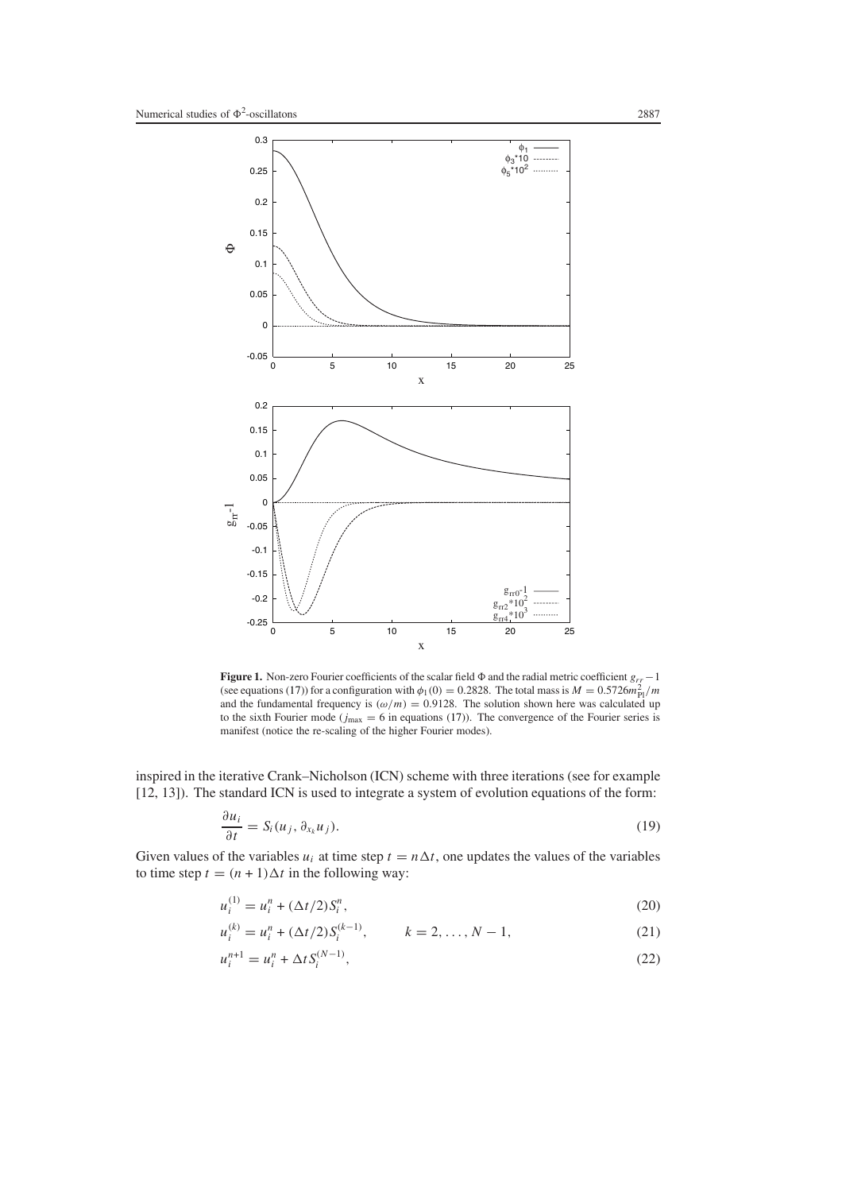

<span id="page-4-0"></span>**Figure 1.** Non-zero Fourier coefficients of the scalar field  $\Phi$  and the radial metric coefficient  $g_{rr}$  −1 (see equations [\(17\)](#page-3-1)) for a configuration with  $\phi_1(0) = 0.2828$ . The total mass is  $M = 0.5726 m_{\text{Pl}}^2/m$ and the fundamental frequency is  $(\omega/m) = 0.9128$ . The solution shown here was calculated up to the sixth Fourier mode ( $j_{\text{max}} = 6$  in equations [\(17\)](#page-3-1)). The convergence of the Fourier series is manifest (notice the re-scaling of the higher Fourier modes).

inspired in the iterative Crank–Nicholson (ICN) scheme with three iterations (see for example [12, 13]). The standard ICN is used to integrate a system of evolution equations of the form:

$$
\frac{\partial u_i}{\partial t} = S_i(u_j, \partial_{x_k} u_j). \tag{19}
$$

Given values of the variables  $u_i$  at time step  $t = n\Delta t$ , one updates the values of the variables to time step  $t = (n + 1)\Delta t$  in the following way:

$$
u_i^{(1)} = u_i^n + (\Delta t/2)S_i^n,\tag{20}
$$

$$
u_i^{(k)} = u_i^n + (\Delta t/2)S_i^{(k-1)}, \qquad k = 2, \dots, N-1,
$$
\n(21)

$$
u_i^{n+1} = u_i^n + \Delta t S_i^{(N-1)},\tag{22}
$$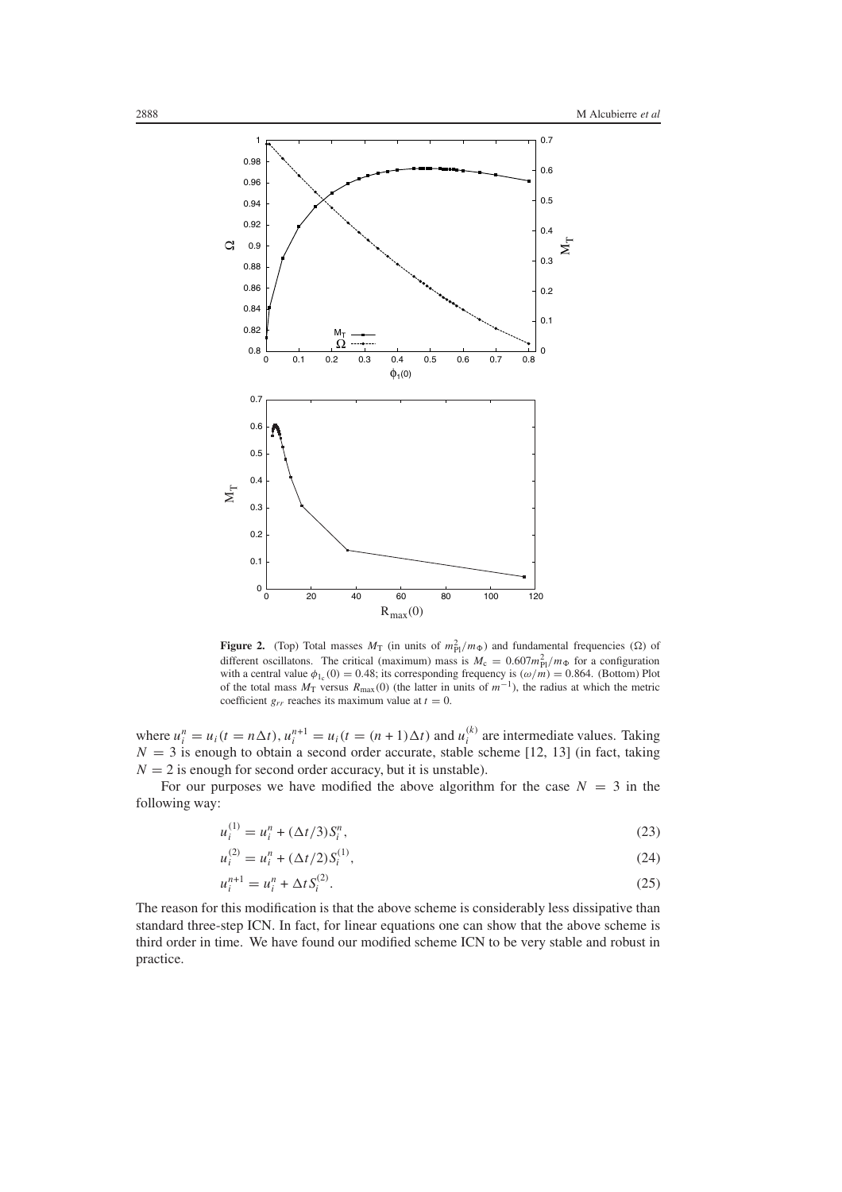

<span id="page-5-0"></span>**Figure 2.** (Top) Total masses  $M_T$  (in units of  $m_{\text{Pl}}^2/m_{\Phi}$ ) and fundamental frequencies ( $\Omega$ ) of different oscillatons. The critical (maximum) mass is  $M_c = 0.607 m_{\text{Pl}}^2 / m_{\Phi}$  for a configuration with a central value  $\phi_{1_c}(0) = 0.48$ ; its corresponding frequency is  $(\omega/n) = 0.864$ . (Bottom) Plot of the total mass  $M_T$  versus  $R_{\text{max}}(0)$  (the latter in units of  $m^{-1}$ ), the radius at which the metric coefficient  $g_{rr}$  reaches its maximum value at  $t = 0$ .

where  $u_i^n = u_i(t = n\Delta t)$ ,  $u_i^{n+1} = u_i(t = (n+1)\Delta t)$  and  $u_i^{(k)}$  are intermediate values. Taking  $N = 3$  is enough to obtain a second order accurate, stable scheme [12, 13] (in fact, taking  $N = 2$  is enough for second order accuracy, but it is unstable).

For our purposes we have modified the above algorithm for the case  $N = 3$  in the following way:

$$
u_i^{(1)} = u_i^n + (\Delta t/3)S_i^n,\tag{23}
$$

$$
u_i^{(2)} = u_i^n + (\Delta t/2)S_i^{(1)},\tag{24}
$$

$$
u_i^{n+1} = u_i^n + \Delta t S_i^{(2)}.
$$
\n(25)

The reason for this modification is that the above scheme is considerably less dissipative than standard three-step ICN. In fact, for linear equations one can show that the above scheme is third order in time. We have found our modified scheme ICN to be very stable and robust in practice.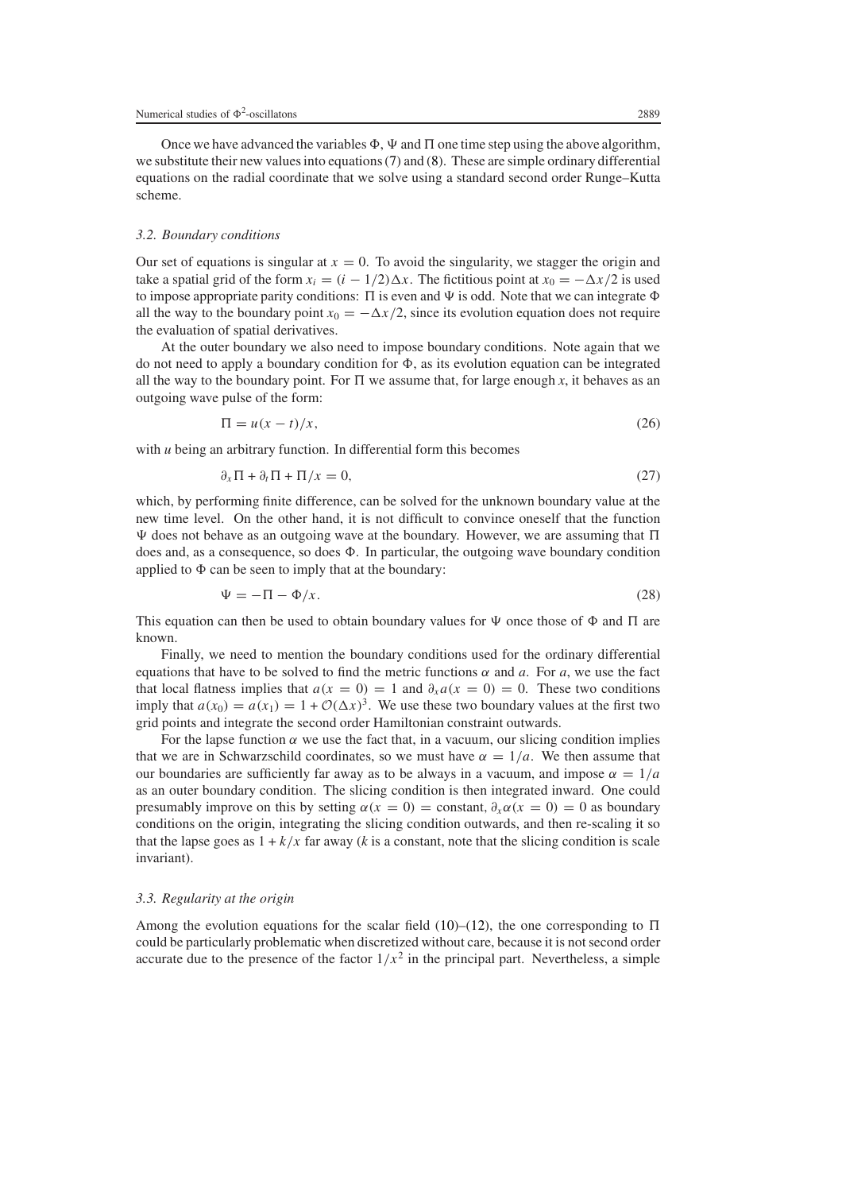Once we have advanced the variables  $\Phi$ ,  $\Psi$  and  $\Pi$  one time step using the above algorithm, we substitute their new values into equations [\(7\)](#page-2-0) and [\(8\)](#page-2-5). These are simple ordinary differential equations on the radial coordinate that we solve using a standard second order Runge–Kutta scheme.

#### *3.2. Boundary conditions*

Our set of equations is singular at  $x = 0$ . To avoid the singularity, we stagger the origin and take a spatial grid of the form  $x_i = (i - 1/2) \Delta x$ . The fictitious point at  $x_0 = -\Delta x/2$  is used to impose appropriate parity conditions:  $\Pi$  is even and  $\Psi$  is odd. Note that we can integrate  $\Phi$ all the way to the boundary point  $x_0 = -\Delta x/2$ , since its evolution equation does not require the evaluation of spatial derivatives.

At the outer boundary we also need to impose boundary conditions. Note again that we do not need to apply a boundary condition for  $\Phi$ , as its evolution equation can be integrated all the way to the boundary point. For  $\Pi$  we assume that, for large enough x, it behaves as an outgoing wave pulse of the form:

$$
\Pi = u(x - t)/x,\tag{26}
$$

with *u* being an arbitrary function. In differential form this becomes

$$
\partial_x \Pi + \partial_t \Pi + \Pi/x = 0,\tag{27}
$$

which, by performing finite difference, can be solved for the unknown boundary value at the new time level. On the other hand, it is not difficult to convince oneself that the function  $\Psi$  does not behave as an outgoing wave at the boundary. However, we are assuming that  $\Pi$ does and, as a consequence, so does  $\Phi$ . In particular, the outgoing wave boundary condition applied to  $\Phi$  can be seen to imply that at the boundary:

$$
\Psi = -\Pi - \Phi/x.
$$
\n(28)

This equation can then be used to obtain boundary values for  $\Psi$  once those of  $\Phi$  and  $\Pi$  are known.

Finally, we need to mention the boundary conditions used for the ordinary differential equations that have to be solved to find the metric functions  $\alpha$  and  $\alpha$ . For  $\alpha$ , we use the fact that local flatness implies that  $a(x = 0) = 1$  and  $\partial_x a(x = 0) = 0$ . These two conditions imply that  $a(x_0) = a(x_1) = 1 + \mathcal{O}(\Delta x)^3$ . We use these two boundary values at the first two grid points and integrate the second order Hamiltonian constraint outwards.

For the lapse function  $\alpha$  we use the fact that, in a vacuum, our slicing condition implies that we are in Schwarzschild coordinates, so we must have  $\alpha = 1/a$ . We then assume that our boundaries are sufficiently far away as to be always in a vacuum, and impose  $\alpha = 1/a$ as an outer boundary condition. The slicing condition is then integrated inward. One could presumably improve on this by setting  $\alpha(x = 0) =$  constant,  $\partial_x \alpha(x = 0) = 0$  as boundary conditions on the origin, integrating the slicing condition outwards, and then re-scaling it so that the lapse goes as  $1 + k/x$  far away (*k* is a constant, note that the slicing condition is scale invariant).

## *3.3. Regularity at the origin*

Among the evolution equations for the scalar field [\(10\)](#page-2-4)–[\(12\)](#page-2-1), the one corresponding to  $\Pi$ could be particularly problematic when discretized without care, because it is not second order accurate due to the presence of the factor  $1/x^2$  in the principal part. Nevertheless, a simple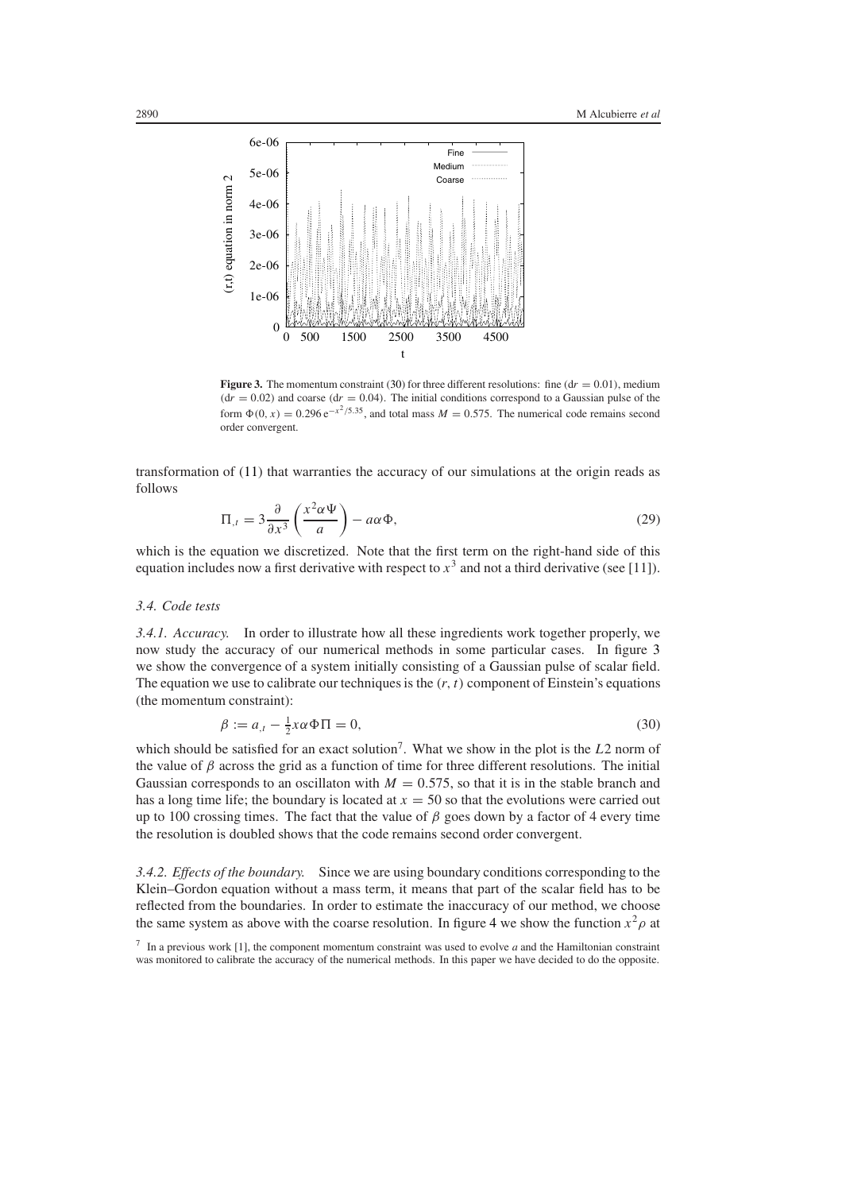

<span id="page-7-1"></span>**Figure 3.** The momentum constraint [\(30\)](#page-7-0) for three different resolutions: fine  $dr = 0.01$ ), medium  $(dr = 0.02)$  and coarse  $(dr = 0.04)$ . The initial conditions correspond to a Gaussian pulse of the form  $\Phi(0, x) = 0.296 e^{-x^2/5.35}$ , and total mass  $M = 0.575$ . The numerical code remains second order convergent.

transformation of [\(11\)](#page-2-6) that warranties the accuracy of our simulations at the origin reads as follows

$$
\Pi_{,t} = 3 \frac{\partial}{\partial x^3} \left( \frac{x^2 \alpha \Psi}{a} \right) - a \alpha \Phi,
$$
\n(29)

which is the equation we discretized. Note that the first term on the right-hand side of this equation includes now a first derivative with respect to  $x<sup>3</sup>$  and not a third derivative (see [11]).

#### *3.4. Code tests*

*3.4.1. Accuracy.* In order to illustrate how all these ingredients work together properly, we now study the accuracy of our numerical methods in some particular cases. In figure [3](#page-7-1) we show the convergence of a system initially consisting of a Gaussian pulse of scalar field. The equation we use to calibrate our techniques is the  $(r, t)$  component of Einstein's equations (the momentum constraint):

$$
\beta := a_{,t} - \frac{1}{2}x\alpha \Phi \Pi = 0,\tag{30}
$$

<span id="page-7-0"></span>which should be satisfied for an exact solution<sup>7</sup>. What we show in the plot is the *L*2 norm of the value of *β* across the grid as a function of time for three different resolutions. The initial Gaussian corresponds to an oscillaton with  $M = 0.575$ , so that it is in the stable branch and has a long time life; the boundary is located at  $x = 50$  so that the evolutions were carried out up to 100 crossing times. The fact that the value of  $\beta$  goes down by a factor of 4 every time the resolution is doubled shows that the code remains second order convergent.

*3.4.2. Effects of the boundary.* Since we are using boundary conditions corresponding to the Klein–Gordon equation without a mass term, it means that part of the scalar field has to be reflected from the boundaries. In order to estimate the inaccuracy of our method, we choose the same system as above with the coarse resolution. In figure [4](#page-8-1) we show the function  $x^2 \rho$  at

<sup>7</sup> In a previous work [1], the component momentum constraint was used to evolve *a* and the Hamiltonian constraint was monitored to calibrate the accuracy of the numerical methods. In this paper we have decided to do the opposite.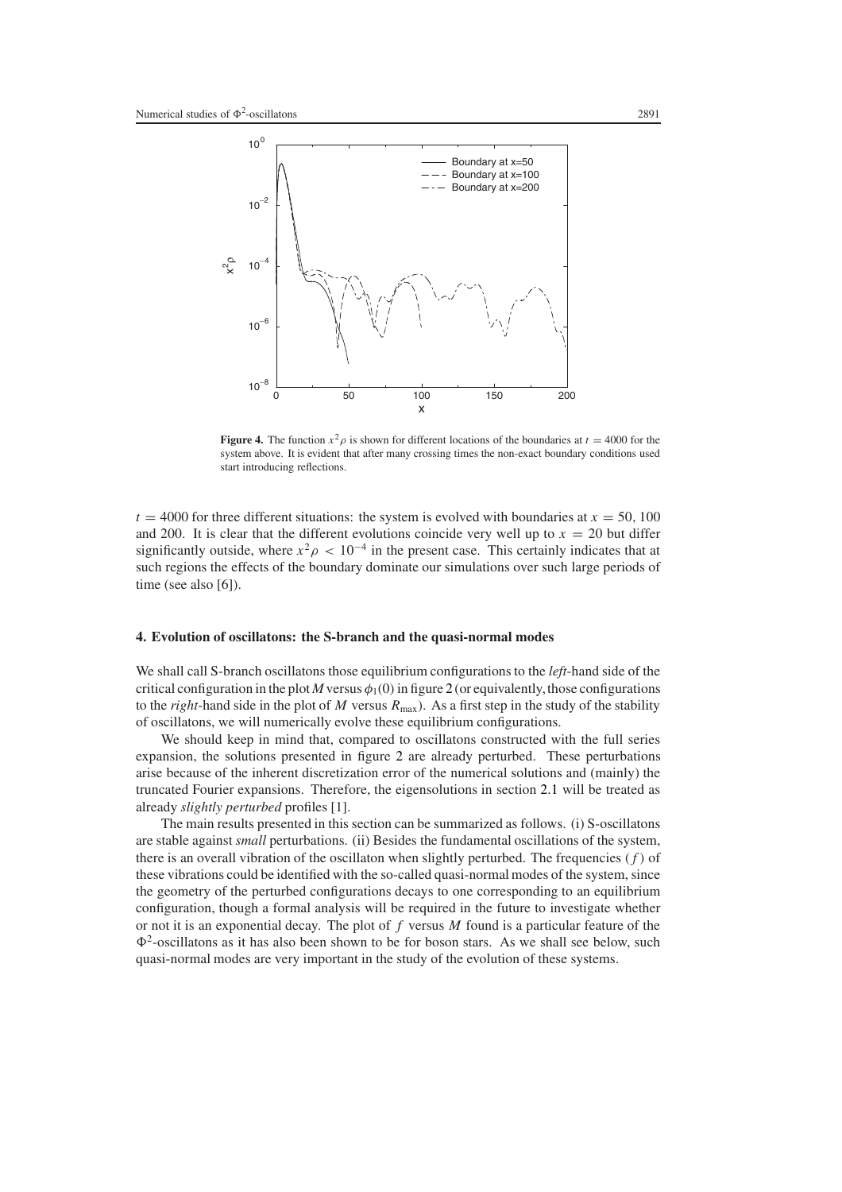

<span id="page-8-1"></span>**Figure 4.** The function  $x^2 \rho$  is shown for different locations of the boundaries at  $t = 4000$  for the system above. It is evident that after many crossing times the non-exact boundary conditions used start introducing reflections.

 $t = 4000$  for three different situations: the system is evolved with boundaries at  $x = 50$ , 100 and 200. It is clear that the different evolutions coincide very well up to  $x = 20$  but differ significantly outside, where  $x^2 \rho$  < 10<sup>-4</sup> in the present case. This certainly indicates that at such regions the effects of the boundary dominate our simulations over such large periods of time (see also [6]).

## <span id="page-8-0"></span>**4. Evolution of oscillatons: the S-branch and the quasi-normal modes**

We shall call S-branch oscillatons those equilibrium configurations to the *left*-hand side of the critical configuration in the plot *M* versus  $\phi_1(0)$  in figure [2](#page-5-0) (or equivalently, those configurations to the *right*-hand side in the plot of *M* versus  $R_{\text{max}}$ ). As a first step in the study of the stability of oscillatons, we will numerically evolve these equilibrium configurations.

We should keep in mind that, compared to oscillatons constructed with the full series expansion, the solutions presented in figure [2](#page-5-0) are already perturbed. These perturbations arise because of the inherent discretization error of the numerical solutions and (mainly) the truncated Fourier expansions. Therefore, the eigensolutions in section [2.1](#page-2-7) will be treated as already *slightly perturbed* profiles [1].

The main results presented in this section can be summarized as follows. (i) S-oscillatons are stable against *small* perturbations. (ii) Besides the fundamental oscillations of the system, there is an overall vibration of the oscillaton when slightly perturbed. The frequencies *(f )* of these vibrations could be identified with the so-called quasi-normal modes of the system, since the geometry of the perturbed configurations decays to one corresponding to an equilibrium configuration, though a formal analysis will be required in the future to investigate whether or not it is an exponential decay. The plot of *f* versus *M* found is a particular feature of the  $\Phi^2$ -oscillatons as it has also been shown to be for boson stars. As we shall see below, such quasi-normal modes are very important in the study of the evolution of these systems.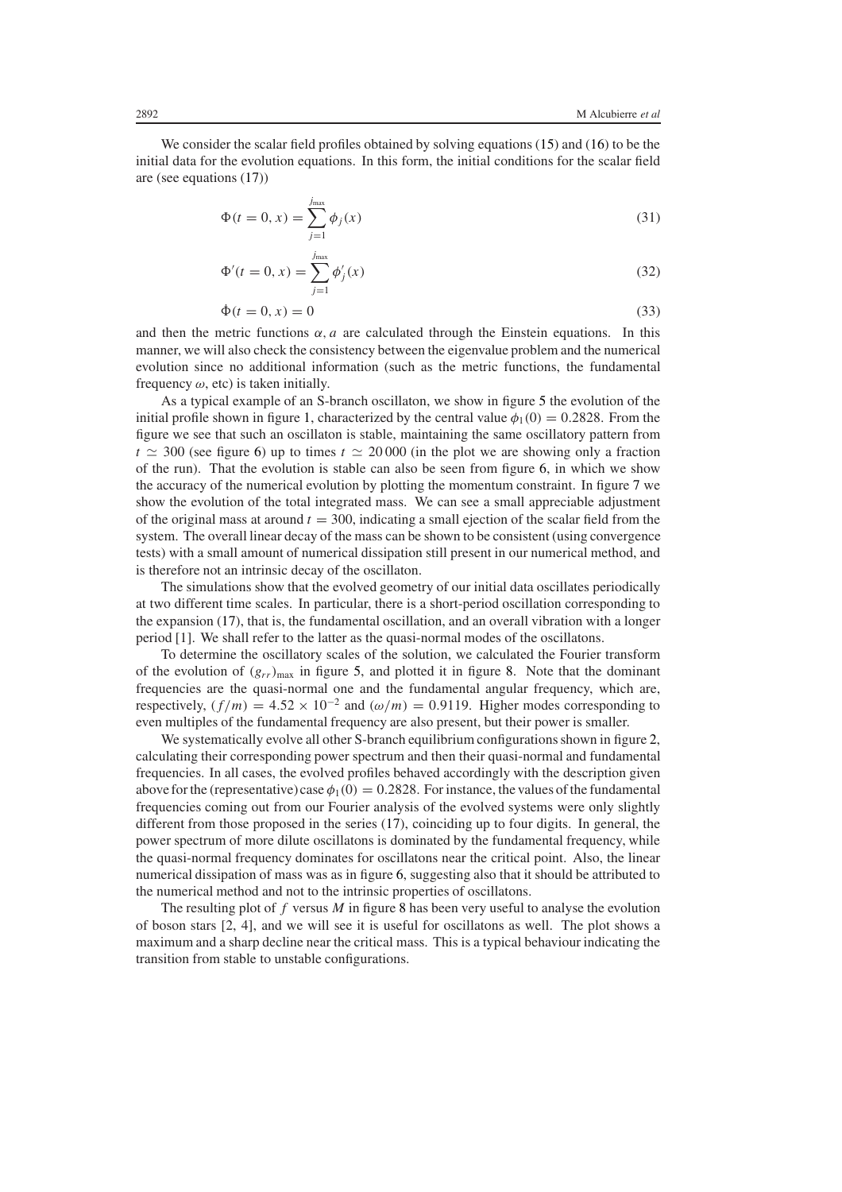We consider the scalar field profiles obtained by solving equations [\(15\)](#page-2-8) and [\(16\)](#page-2-2) to be the initial data for the evolution equations. In this form, the initial conditions for the scalar field are (see equations [\(17\)](#page-3-1))

$$
\Phi(t = 0, x) = \sum_{j=1}^{j_{\text{max}}} \phi_j(x)
$$
\n(31)

$$
\Phi'(t=0, x) = \sum_{j=1}^{j_{\text{max}}} \phi'_j(x)
$$
\n(32)

$$
\dot{\Phi}(t=0,x) = 0 \tag{33}
$$

and then the metric functions  $\alpha$ , *a* are calculated through the Einstein equations. In this manner, we will also check the consistency between the eigenvalue problem and the numerical evolution since no additional information (such as the metric functions, the fundamental frequency  $\omega$ , etc) is taken initially.

As a typical example of an S-branch oscillaton, we show in figure [5](#page-10-0) the evolution of the initial profile shown in figure [1,](#page-4-0) characterized by the central value  $\phi_1(0) = 0.2828$ . From the figure we see that such an oscillaton is stable, maintaining the same oscillatory pattern from  $t \approx 300$  (see figure [6\)](#page-11-0) up to times  $t \approx 20000$  (in the plot we are showing only a fraction of the run). That the evolution is stable can also be seen from figure [6,](#page-11-0) in which we show the accuracy of the numerical evolution by plotting the momentum constraint. In figure [7](#page-11-1) we show the evolution of the total integrated mass. We can see a small appreciable adjustment of the original mass at around  $t = 300$ , indicating a small ejection of the scalar field from the system. The overall linear decay of the mass can be shown to be consistent (using convergence tests) with a small amount of numerical dissipation still present in our numerical method, and is therefore not an intrinsic decay of the oscillaton.

The simulations show that the evolved geometry of our initial data oscillates periodically at two different time scales. In particular, there is a short-period oscillation corresponding to the expansion [\(17\)](#page-3-1), that is, the fundamental oscillation, and an overall vibration with a longer period [1]. We shall refer to the latter as the quasi-normal modes of the oscillatons.

To determine the oscillatory scales of the solution, we calculated the Fourier transform of the evolution of  $(g_{rr})_{\text{max}}$  in figure [5,](#page-10-0) and plotted it in figure [8.](#page-12-0) Note that the dominant frequencies are the quasi-normal one and the fundamental angular frequency, which are, respectively,  $(f/m) = 4.52 \times 10^{-2}$  and  $(\omega/m) = 0.9119$ . Higher modes corresponding to even multiples of the fundamental frequency are also present, but their power is smaller.

We systematically evolve all other S-branch equilibrium configurations shown in figure [2,](#page-5-0) calculating their corresponding power spectrum and then their quasi-normal and fundamental frequencies. In all cases, the evolved profiles behaved accordingly with the description given above for the (representative) case  $\phi_1(0) = 0.2828$ . For instance, the values of the fundamental frequencies coming out from our Fourier analysis of the evolved systems were only slightly different from those proposed in the series [\(17\)](#page-3-1), coinciding up to four digits. In general, the power spectrum of more dilute oscillatons is dominated by the fundamental frequency, while the quasi-normal frequency dominates for oscillatons near the critical point. Also, the linear numerical dissipation of mass was as in figure [6,](#page-11-0) suggesting also that it should be attributed to the numerical method and not to the intrinsic properties of oscillatons.

The resulting plot of *f* versus *M* in figure [8](#page-12-0) has been very useful to analyse the evolution of boson stars [2, 4], and we will see it is useful for oscillatons as well. The plot shows a maximum and a sharp decline near the critical mass. This is a typical behaviour indicating the transition from stable to unstable configurations.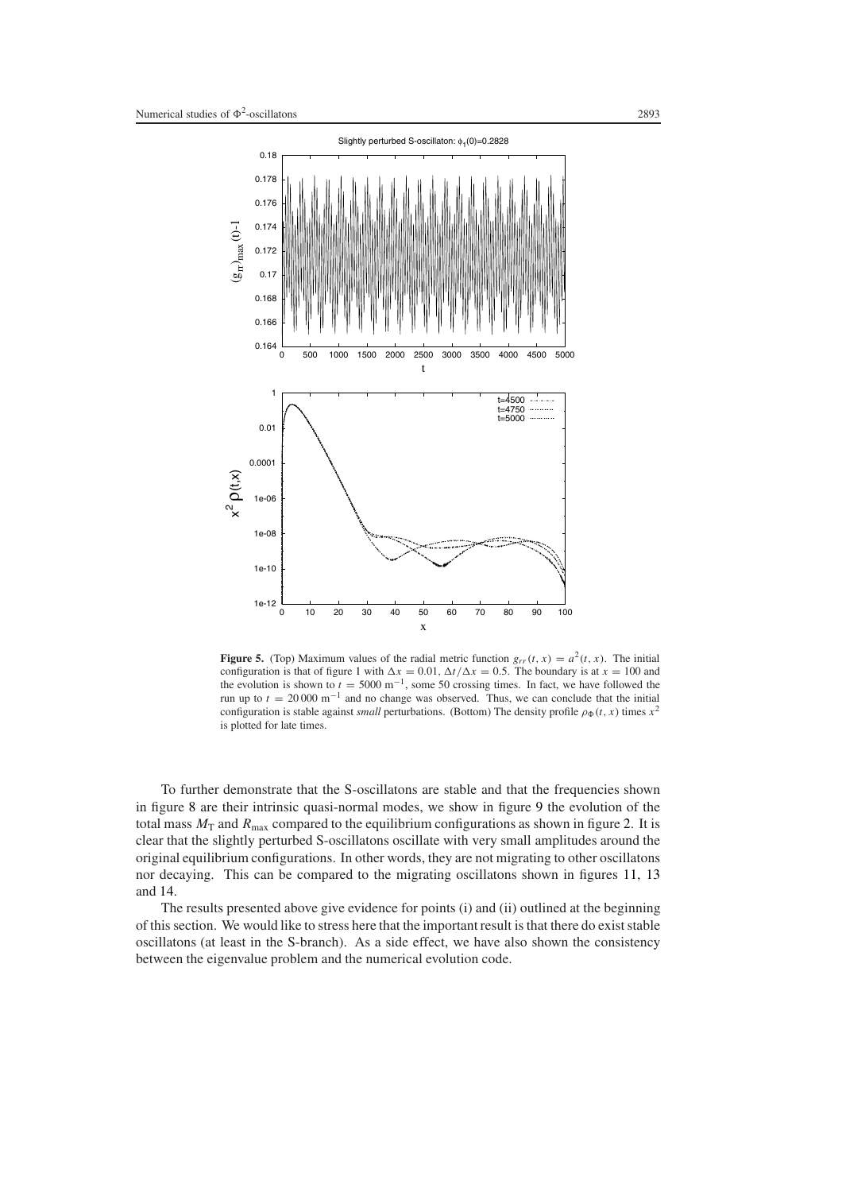

<span id="page-10-0"></span>**Figure 5.** (Top) Maximum values of the radial metric function  $g_{rr}(t, x) = a^2(t, x)$ . The initial configuration is that of figure [1](#page-4-0) with  $\Delta x = 0.01$ ,  $\Delta t / \Delta x = 0.5$ . The boundary is at  $x = 100$  and the evolution is shown to  $t = 5000 \text{ m}^{-1}$ , some 50 crossing times. In fact, we have followed the run up to  $t = 20000 \text{ m}^{-1}$  and no change was observed. Thus, we can conclude that the initial configuration is stable against *small* perturbations. (Bottom) The density profile  $\rho_{\Phi}(t, x)$  times  $x^2$ is plotted for late times.

To further demonstrate that the S-oscillatons are stable and that the frequencies shown in figure [8](#page-12-0) are their intrinsic quasi-normal modes, we show in figure [9](#page-13-0) the evolution of the total mass  $M_T$  and  $R_{\text{max}}$  compared to the equilibrium configurations as shown in figure [2.](#page-5-0) It is clear that the slightly perturbed S-oscillatons oscillate with very small amplitudes around the original equilibrium configurations. In other words, they are not migrating to other oscillatons nor decaying. This can be compared to the migrating oscillatons shown in figures [11,](#page-14-0) [13](#page-16-0) and [14.](#page-17-0)

The results presented above give evidence for points (i) and (ii) outlined at the beginning of this section. We would like to stress here that the important result is that there do exist stable oscillatons (at least in the S-branch). As a side effect, we have also shown the consistency between the eigenvalue problem and the numerical evolution code.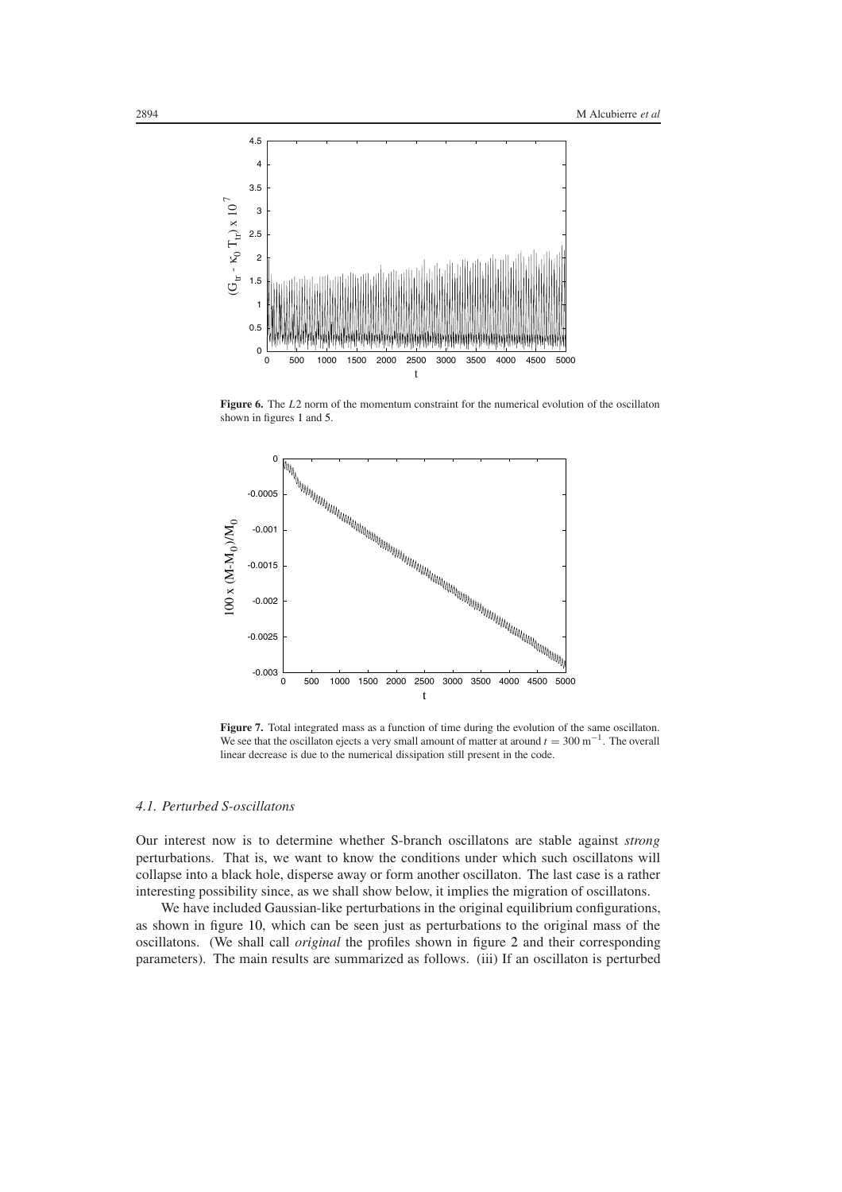

**Figure 6.** The *L*2 norm of the momentum constraint for the numerical evolution of the oscillaton shown in figures [1](#page-4-0) and [5.](#page-10-0)

<span id="page-11-0"></span>

<span id="page-11-1"></span>Figure 7. Total integrated mass as a function of time during the evolution of the same oscillaton. We see that the oscillaton ejects a very small amount of matter at around  $t = 300 \text{ m}^{-1}$ . The overall linear decrease is due to the numerical dissipation still present in the code.

## <span id="page-11-2"></span>*4.1. Perturbed S-oscillatons*

Our interest now is to determine whether S-branch oscillatons are stable against *strong* perturbations. That is, we want to know the conditions under which such oscillatons will collapse into a black hole, disperse away or form another oscillaton. The last case is a rather interesting possibility since, as we shall show below, it implies the migration of oscillatons.

We have included Gaussian-like perturbations in the original equilibrium configurations, as shown in figure [10,](#page-13-1) which can be seen just as perturbations to the original mass of the oscillatons. (We shall call *original* the profiles shown in figure [2](#page-5-0) and their corresponding parameters). The main results are summarized as follows. (iii) If an oscillaton is perturbed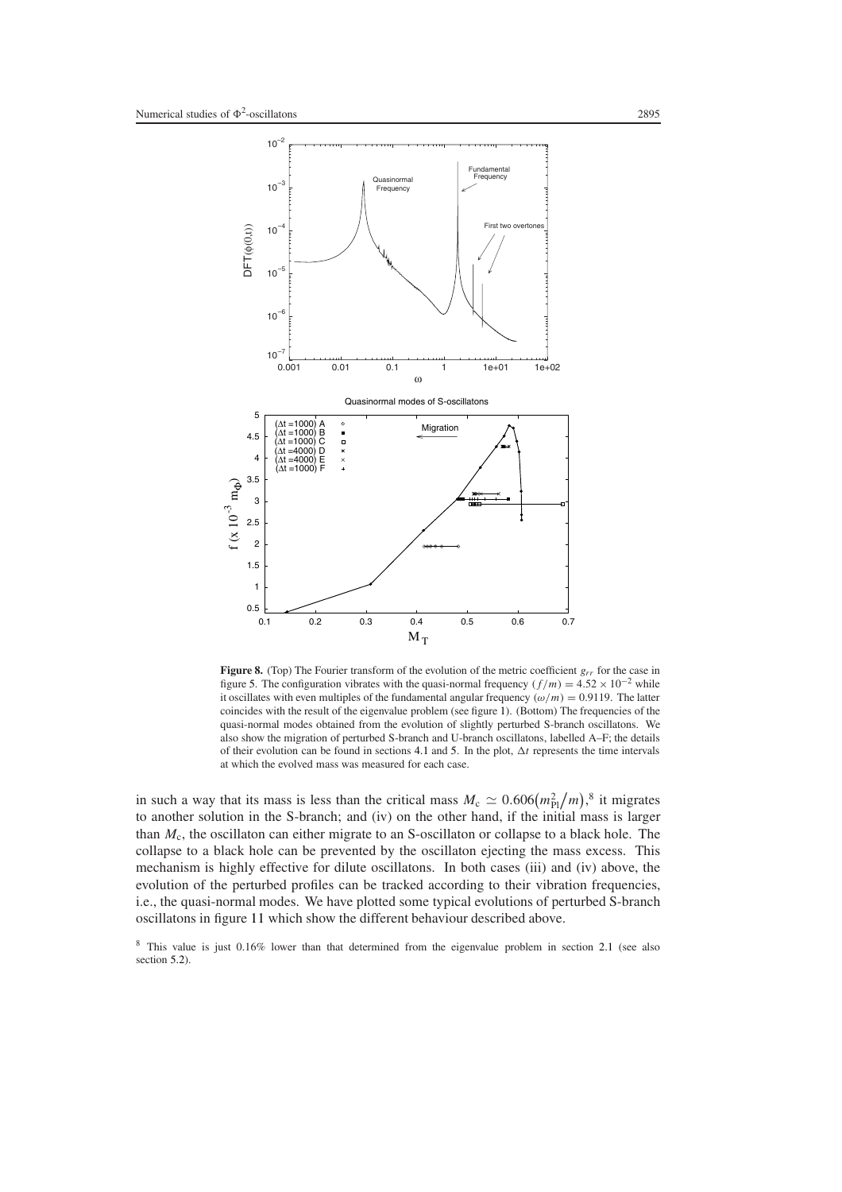

<span id="page-12-0"></span>**Figure 8.** (Top) The Fourier transform of the evolution of the metric coefficient  $g_{rr}$  for the case in figure [5.](#page-10-0) The configuration vibrates with the quasi-normal frequency  $(f/m) = 4.52 \times 10^{-2}$  while it oscillates with even multiples of the fundamental angular frequency  $(\omega/m) = 0.9119$ . The latter coincides with the result of the eigenvalue problem (see figure [1\)](#page-4-0). (Bottom) The frequencies of the quasi-normal modes obtained from the evolution of slightly perturbed S-branch oscillatons. We also show the migration of perturbed S-branch and U-branch oscillatons, labelled A–F; the details of their evolution can be found in sections [4.1](#page-11-2) and [5.](#page-15-0) In the plot,  $\Delta t$  represents the time intervals at which the evolved mass was measured for each case.

in such a way that its mass is less than the critical mass  $M_c \simeq 0.606 \left(m_{\rm Pl}^2/m\right)^8$  it migrates to another solution in the S-branch; and (iv) on the other hand, if the initial mass is larger than *M*c, the oscillaton can either migrate to an S-oscillaton or collapse to a black hole. The collapse to a black hole can be prevented by the oscillaton ejecting the mass excess. This mechanism is highly effective for dilute oscillatons. In both cases (iii) and (iv) above, the evolution of the perturbed profiles can be tracked according to their vibration frequencies, i.e., the quasi-normal modes. We have plotted some typical evolutions of perturbed S-branch oscillatons in figure [11](#page-14-0) which show the different behaviour described above.

<sup>8</sup> This value is just 0.16% lower than that determined from the eigenvalue problem in section [2.1](#page-2-7) (see also section [5.2\)](#page-18-0).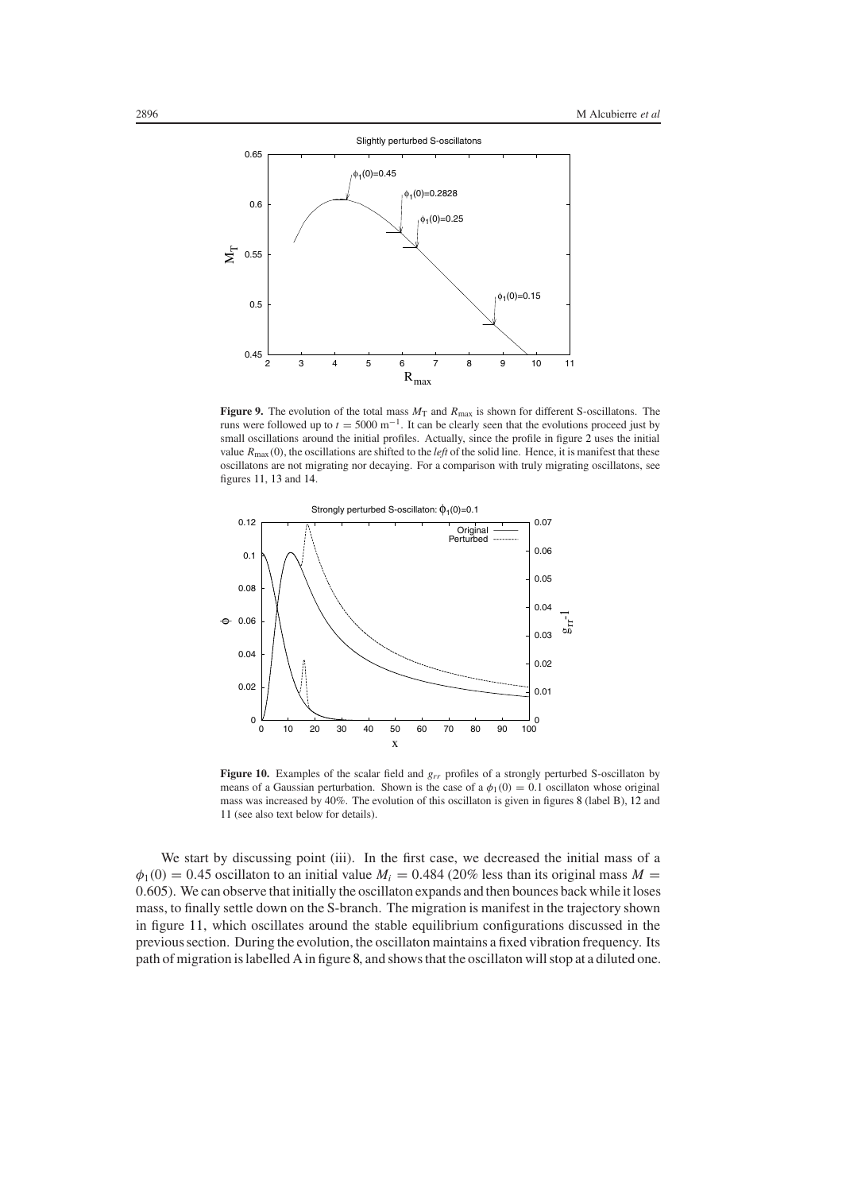

<span id="page-13-0"></span>**Figure 9.** The evolution of the total mass  $M_T$  and  $R_{\text{max}}$  is shown for different S-oscillatons. The runs were followed up to  $t = 5000 \text{ m}^{-1}$ . It can be clearly seen that the evolutions proceed just by small oscillations around the initial profiles. Actually, since the profile in figure [2](#page-5-0) uses the initial value *R*max*(*0*)*, the oscillations are shifted to the *left* of the solid line. Hence, it is manifest that these oscillatons are not migrating nor decaying. For a comparison with truly migrating oscillatons, see figures [11,](#page-14-0) [13](#page-16-0) and [14.](#page-17-0)



<span id="page-13-1"></span>**Figure 10.** Examples of the scalar field and *grr* profiles of a strongly perturbed S-oscillaton by means of a Gaussian perturbation. Shown is the case of a  $\phi_1(0) = 0.1$  oscillaton whose original mass was increased by 40%. The evolution of this oscillaton is given in figures [8](#page-12-0) (label B), [12](#page-15-1) and [11](#page-14-0) (see also text below for details).

We start by discussing point (iii). In the first case, we decreased the initial mass of a  $\phi_1(0) = 0.45$  oscillaton to an initial value  $M_i = 0.484$  (20% less than its original mass  $M =$ 0*.*605). We can observe that initially the oscillaton expands and then bounces back while it loses mass, to finally settle down on the S-branch. The migration is manifest in the trajectory shown in figure [11,](#page-14-0) which oscillates around the stable equilibrium configurations discussed in the previous section. During the evolution, the oscillaton maintains a fixed vibration frequency. Its path of migration is labelled A in figure [8,](#page-12-0) and shows that the oscillaton will stop at a diluted one.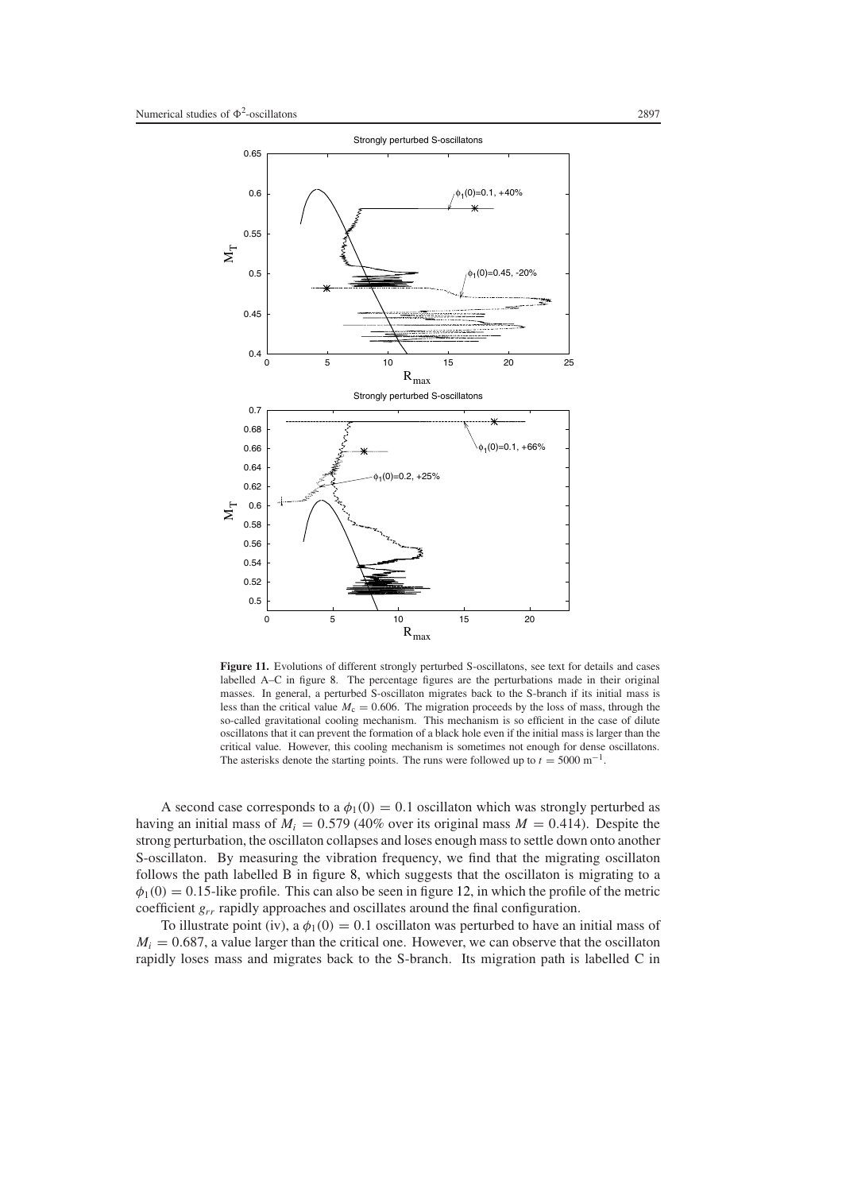

<span id="page-14-0"></span>**Figure 11.** Evolutions of different strongly perturbed S-oscillatons, see text for details and cases labelled A–C in figure [8.](#page-12-0) The percentage figures are the perturbations made in their original masses. In general, a perturbed S-oscillaton migrates back to the S-branch if its initial mass is less than the critical value  $M_c = 0.606$ . The migration proceeds by the loss of mass, through the so-called gravitational cooling mechanism. This mechanism is so efficient in the case of dilute oscillatons that it can prevent the formation of a black hole even if the initial mass is larger than the critical value. However, this cooling mechanism is sometimes not enough for dense oscillatons. The asterisks denote the starting points. The runs were followed up to  $t = 5000 \text{ m}^{-1}$ .

A second case corresponds to a  $\phi_1(0) = 0.1$  oscillaton which was strongly perturbed as having an initial mass of  $M_i = 0.579$  (40% over its original mass  $M = 0.414$ ). Despite the strong perturbation, the oscillaton collapses and loses enough mass to settle down onto another S-oscillaton. By measuring the vibration frequency, we find that the migrating oscillaton follows the path labelled B in figure [8,](#page-12-0) which suggests that the oscillaton is migrating to a  $\phi_1(0) = 0.15$ -like profile. This can also be seen in figure [12,](#page-15-1) in which the profile of the metric coefficient *grr* rapidly approaches and oscillates around the final configuration.

To illustrate point (iv), a  $\phi_1(0) = 0.1$  oscillaton was perturbed to have an initial mass of  $M_i = 0.687$ , a value larger than the critical one. However, we can observe that the oscillaton rapidly loses mass and migrates back to the S-branch. Its migration path is labelled C in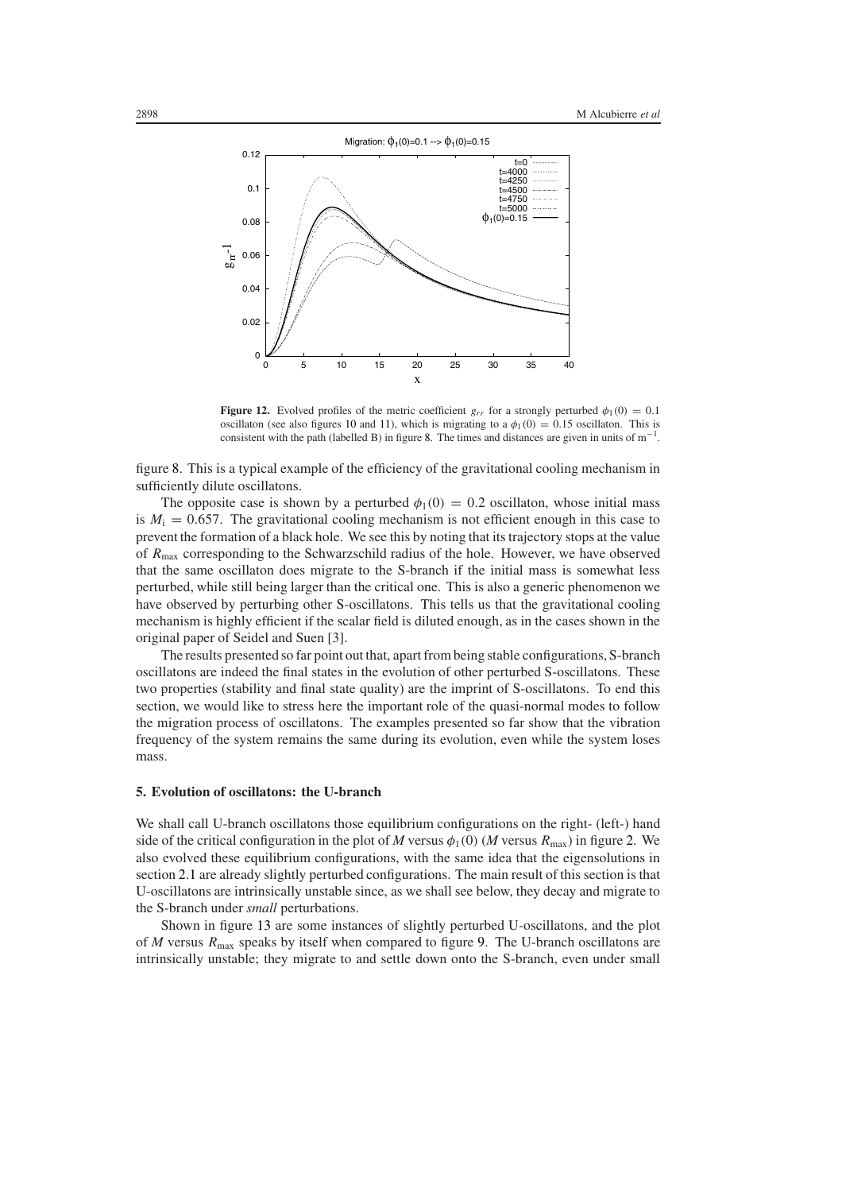

<span id="page-15-1"></span>**Figure 12.** Evolved profiles of the metric coefficient  $g_{rr}$  for a strongly perturbed  $\phi_1(0) = 0.1$ oscillaton (see also figures [10](#page-13-1) and [11\)](#page-14-0), which is migrating to a  $\phi_1(0) = 0.15$  oscillaton. This is consistent with the path (labelled B) in figure [8.](#page-12-0) The times and distances are given in units of  $m^{-1}$ .

figure [8.](#page-12-0) This is a typical example of the efficiency of the gravitational cooling mechanism in sufficiently dilute oscillatons.

The opposite case is shown by a perturbed  $\phi_1(0) = 0.2$  oscillaton, whose initial mass is  $M<sub>i</sub> = 0.657$ . The gravitational cooling mechanism is not efficient enough in this case to prevent the formation of a black hole. We see this by noting that its trajectory stops at the value of *R*max corresponding to the Schwarzschild radius of the hole. However, we have observed that the same oscillaton does migrate to the S-branch if the initial mass is somewhat less perturbed, while still being larger than the critical one. This is also a generic phenomenon we have observed by perturbing other S-oscillatons. This tells us that the gravitational cooling mechanism is highly efficient if the scalar field is diluted enough, as in the cases shown in the original paper of Seidel and Suen [3].

The results presented so far point out that, apart from being stable configurations, S-branch oscillatons are indeed the final states in the evolution of other perturbed S-oscillatons. These two properties (stability and final state quality) are the imprint of S-oscillatons. To end this section, we would like to stress here the important role of the quasi-normal modes to follow the migration process of oscillatons. The examples presented so far show that the vibration frequency of the system remains the same during its evolution, even while the system loses mass.

## <span id="page-15-0"></span>**5. Evolution of oscillatons: the U-branch**

We shall call U-branch oscillatons those equilibrium configurations on the right- (left-) hand side of the critical configuration in the plot of *M* versus  $\phi_1(0)$  (*M* versus  $R_{\text{max}}$ ) in figure [2.](#page-5-0) We also evolved these equilibrium configurations, with the same idea that the eigensolutions in section [2.1](#page-2-7) are already slightly perturbed configurations. The main result of this section is that U-oscillatons are intrinsically unstable since, as we shall see below, they decay and migrate to the S-branch under *small* perturbations.

Shown in figure [13](#page-16-0) are some instances of slightly perturbed U-oscillatons, and the plot of *M* versus *R*max speaks by itself when compared to figure [9.](#page-13-0) The U-branch oscillatons are intrinsically unstable; they migrate to and settle down onto the S-branch, even under small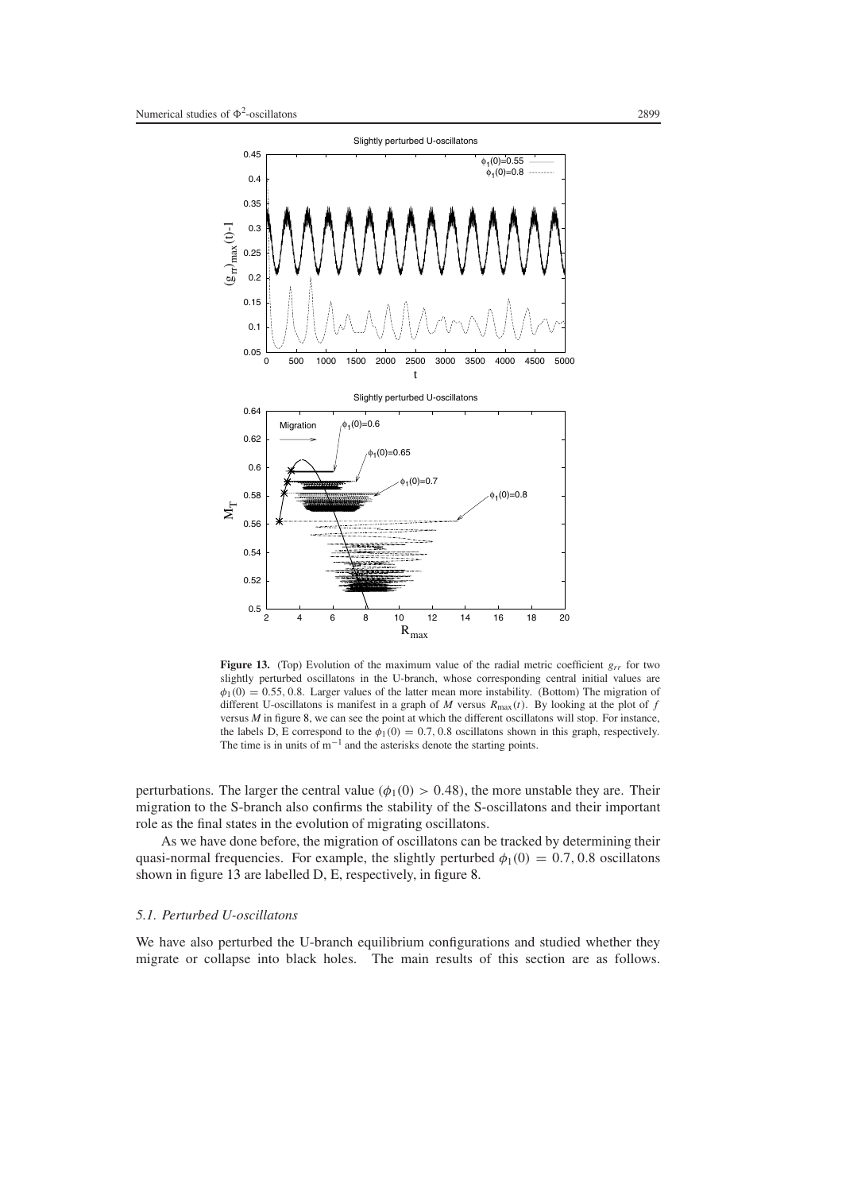

<span id="page-16-0"></span>**Figure 13.** (Top) Evolution of the maximum value of the radial metric coefficient *grr* for two slightly perturbed oscillatons in the U-branch, whose corresponding central initial values are  $\phi_1(0) = 0.55, 0.8$ . Larger values of the latter mean more instability. (Bottom) The migration of different U-oscillatons is manifest in a graph of *M* versus  $R_{\text{max}}(t)$ . By looking at the plot of *f* versus *M* in figure [8,](#page-12-0) we can see the point at which the different oscillatons will stop. For instance, the labels D, E correspond to the  $\phi_1(0) = 0.7, 0.8$  oscillatons shown in this graph, respectively. The time is in units of  $m^{-1}$  and the asterisks denote the starting points.

perturbations. The larger the central value  $(\phi_1(0) > 0.48)$ , the more unstable they are. Their migration to the S-branch also confirms the stability of the S-oscillatons and their important role as the final states in the evolution of migrating oscillatons.

As we have done before, the migration of oscillatons can be tracked by determining their quasi-normal frequencies. For example, the slightly perturbed  $\phi_1(0) = 0.7, 0.8$  oscillatons shown in figure [13](#page-16-0) are labelled D, E, respectively, in figure [8.](#page-12-0)

## *5.1. Perturbed U-oscillatons*

We have also perturbed the U-branch equilibrium configurations and studied whether they migrate or collapse into black holes. The main results of this section are as follows.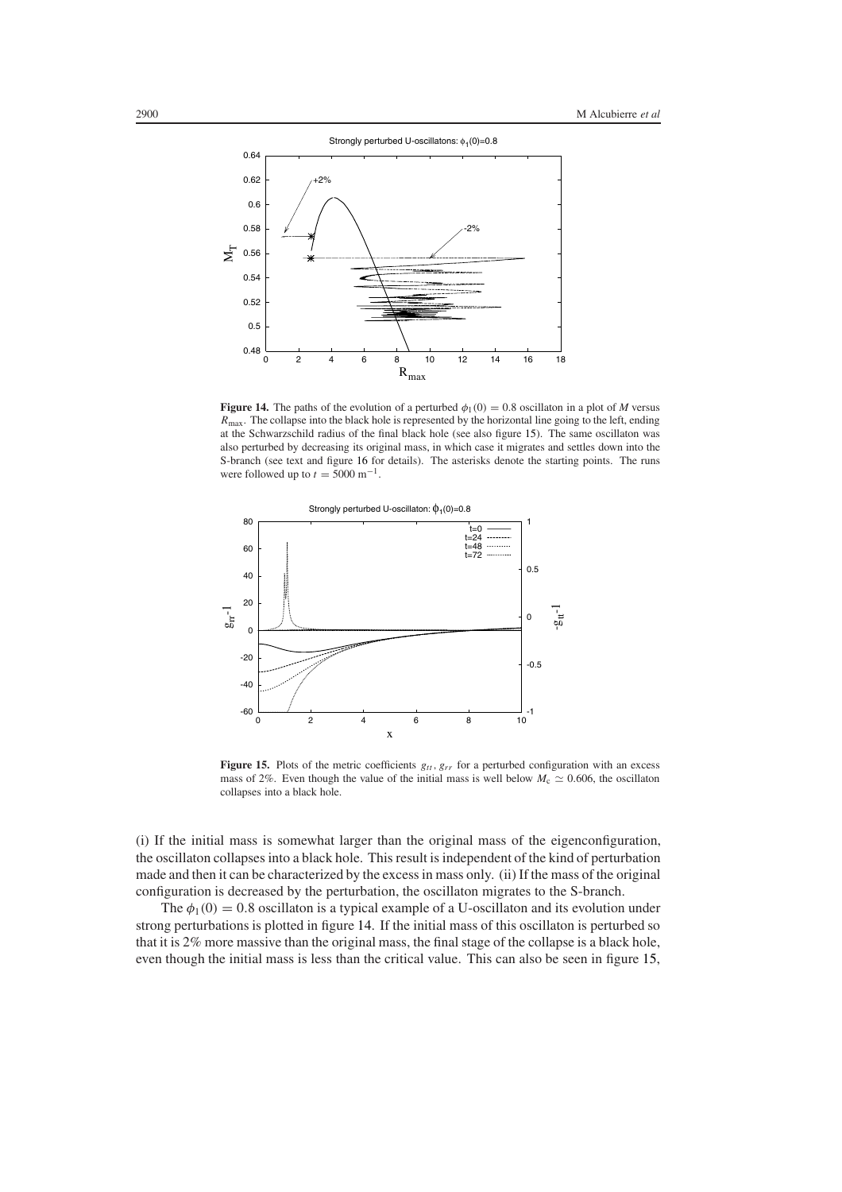

<span id="page-17-0"></span>**Figure 14.** The paths of the evolution of a perturbed  $\phi_1(0) = 0.8$  oscillaton in a plot of *M* versus *R*max. The collapse into the black hole is represented by the horizontal line going to the left, ending at the Schwarzschild radius of the final black hole (see also figure [15\)](#page-17-1). The same oscillaton was also perturbed by decreasing its original mass, in which case it migrates and settles down into the S-branch (see text and figure [16](#page-18-1) for details). The asterisks denote the starting points. The runs were followed up to  $t = 5000$  m<sup>-1</sup>.



<span id="page-17-1"></span>**Figure 15.** Plots of the metric coefficients  $g_{tt}$ ,  $g_{rr}$  for a perturbed configuration with an excess mass of 2%. Even though the value of the initial mass is well below  $M_c \simeq 0.606$ , the oscillaton collapses into a black hole.

(i) If the initial mass is somewhat larger than the original mass of the eigenconfiguration, the oscillaton collapses into a black hole. This result is independent of the kind of perturbation made and then it can be characterized by the excess in mass only. (ii) If the mass of the original configuration is decreased by the perturbation, the oscillaton migrates to the S-branch.

The  $\phi_1(0) = 0.8$  oscillaton is a typical example of a U-oscillaton and its evolution under strong perturbations is plotted in figure [14.](#page-17-0) If the initial mass of this oscillaton is perturbed so that it is 2% more massive than the original mass, the final stage of the collapse is a black hole, even though the initial mass is less than the critical value. This can also be seen in figure [15,](#page-17-1)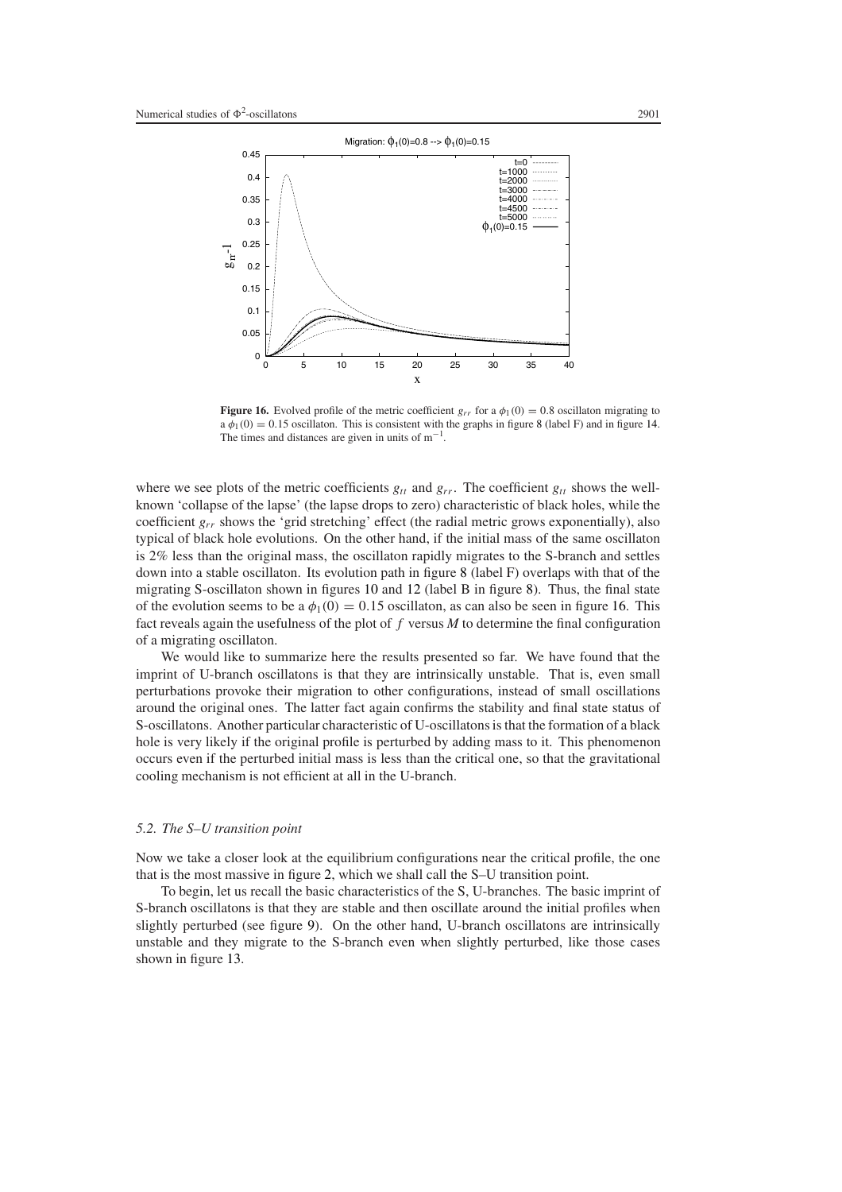

<span id="page-18-1"></span>**Figure 16.** Evolved profile of the metric coefficient  $g_{rr}$  for a  $\phi_1(0) = 0.8$  oscillaton migrating to  $a \phi_1(0) = 0.15$  oscillaton. This is consistent with the graphs in figure [8](#page-12-0) (label F) and in figure [14.](#page-17-0) The times and distances are given in units of  $m^{-1}$ .

where we see plots of the metric coefficients  $g_{tt}$  and  $g_{rr}$ . The coefficient  $g_{tt}$  shows the wellknown 'collapse of the lapse' (the lapse drops to zero) characteristic of black holes, while the coefficient *grr* shows the 'grid stretching' effect (the radial metric grows exponentially), also typical of black hole evolutions. On the other hand, if the initial mass of the same oscillaton is 2% less than the original mass, the oscillaton rapidly migrates to the S-branch and settles down into a stable oscillaton. Its evolution path in figure [8](#page-12-0) (label F) overlaps with that of the migrating S-oscillaton shown in figures [10](#page-13-1) and [12](#page-15-1) (label B in figure [8\)](#page-12-0). Thus, the final state of the evolution seems to be a  $\phi_1(0) = 0.15$  oscillaton, as can also be seen in figure [16.](#page-18-1) This fact reveals again the usefulness of the plot of  $f$  versus  $M$  to determine the final configuration of a migrating oscillaton.

We would like to summarize here the results presented so far. We have found that the imprint of U-branch oscillatons is that they are intrinsically unstable. That is, even small perturbations provoke their migration to other configurations, instead of small oscillations around the original ones. The latter fact again confirms the stability and final state status of S-oscillatons. Another particular characteristic of U-oscillatons is that the formation of a black hole is very likely if the original profile is perturbed by adding mass to it. This phenomenon occurs even if the perturbed initial mass is less than the critical one, so that the gravitational cooling mechanism is not efficient at all in the U-branch.

## <span id="page-18-0"></span>*5.2. The S–U transition point*

Now we take a closer look at the equilibrium configurations near the critical profile, the one that is the most massive in figure [2,](#page-5-0) which we shall call the S–U transition point.

To begin, let us recall the basic characteristics of the S, U-branches. The basic imprint of S-branch oscillatons is that they are stable and then oscillate around the initial profiles when slightly perturbed (see figure [9\)](#page-13-0). On the other hand, U-branch oscillatons are intrinsically unstable and they migrate to the S-branch even when slightly perturbed, like those cases shown in figure [13.](#page-16-0)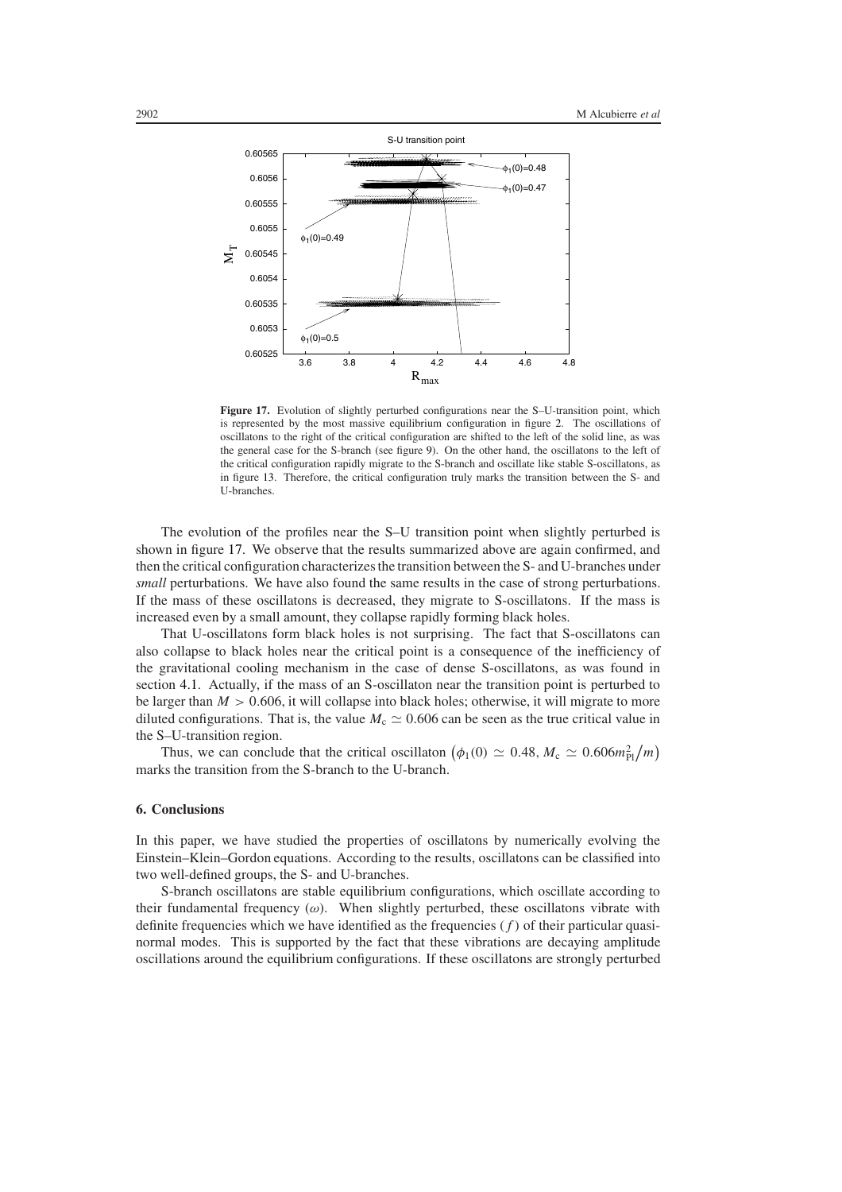

<span id="page-19-1"></span>Figure 17. Evolution of slightly perturbed configurations near the S-U-transition point, which is represented by the most massive equilibrium configuration in figure [2.](#page-5-0) The oscillations of oscillatons to the right of the critical configuration are shifted to the left of the solid line, as was the general case for the S-branch (see figure [9\)](#page-13-0). On the other hand, the oscillatons to the left of the critical configuration rapidly migrate to the S-branch and oscillate like stable S-oscillatons, as in figure [13.](#page-16-0) Therefore, the critical configuration truly marks the transition between the S- and U-branches.

The evolution of the profiles near the S–U transition point when slightly perturbed is shown in figure [17.](#page-19-1) We observe that the results summarized above are again confirmed, and then the critical configuration characterizes the transition between the S- and U-branches under *small* perturbations. We have also found the same results in the case of strong perturbations. If the mass of these oscillatons is decreased, they migrate to S-oscillatons. If the mass is increased even by a small amount, they collapse rapidly forming black holes.

That U-oscillatons form black holes is not surprising. The fact that S-oscillatons can also collapse to black holes near the critical point is a consequence of the inefficiency of the gravitational cooling mechanism in the case of dense S-oscillatons, as was found in section [4.1.](#page-11-2) Actually, if the mass of an S-oscillaton near the transition point is perturbed to be larger than *M >* 0*.*606, it will collapse into black holes; otherwise, it will migrate to more diluted configurations. That is, the value  $M_c \simeq 0.606$  can be seen as the true critical value in the S–U-transition region.

Thus, we can conclude that the critical oscillaton  $(\phi_1(0) \simeq 0.48, M_c \simeq 0.606 m_{Pl}^2/m)$ marks the transition from the S-branch to the U-branch.

#### <span id="page-19-0"></span>**6. Conclusions**

In this paper, we have studied the properties of oscillatons by numerically evolving the Einstein–Klein–Gordon equations. According to the results, oscillatons can be classified into two well-defined groups, the S- and U-branches.

S-branch oscillatons are stable equilibrium configurations, which oscillate according to their fundamental frequency (*ω*). When slightly perturbed, these oscillatons vibrate with definite frequencies which we have identified as the frequencies *(f )* of their particular quasinormal modes. This is supported by the fact that these vibrations are decaying amplitude oscillations around the equilibrium configurations. If these oscillatons are strongly perturbed